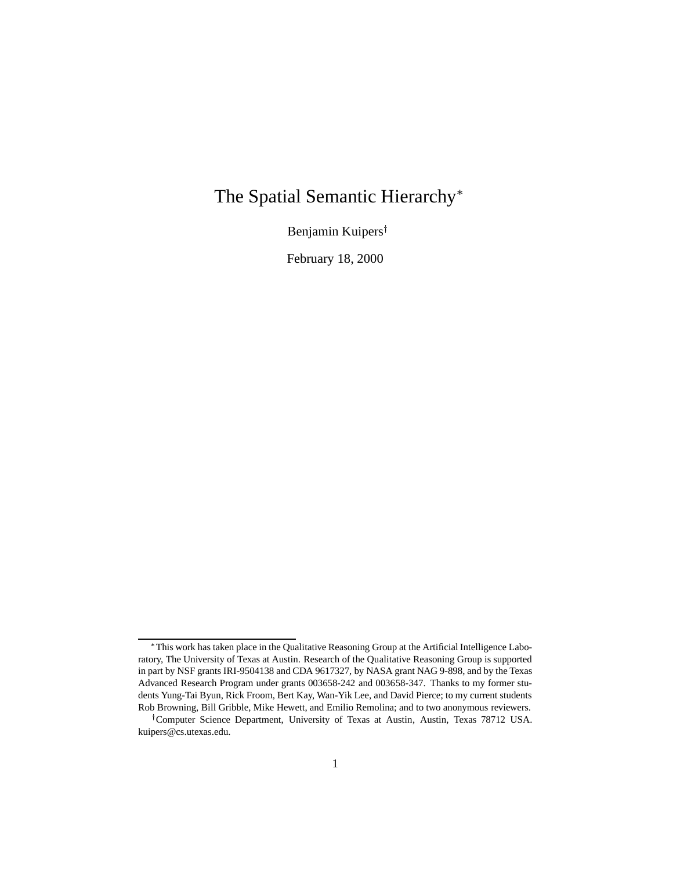# The Spatial Semantic Hierarchy

Benjamin Kuipers<sup>†</sup>

February 18, 2000

This work has taken place in the Qualitative Reasoning Group at the Artificial Intelligence Laboratory, The University of Texas at Austin. Research of the Qualitative Reasoning Group is supported in part by NSF grants IRI-9504138 and CDA 9617327, by NASA grant NAG 9-898, and by the Texas Advanced Research Program under grants 003658-242 and 003658-347. Thanks to my former students Yung-Tai Byun, Rick Froom, Bert Kay, Wan-Yik Lee, and David Pierce; to my current students Rob Browning, Bill Gribble, Mike Hewett, and Emilio Remolina; and to two anonymous reviewers.

<sup>&</sup>lt;sup>†</sup>Computer Science Department, University of Texas at Austin, Austin, Texas 78712 USA. kuipers@cs.utexas.edu.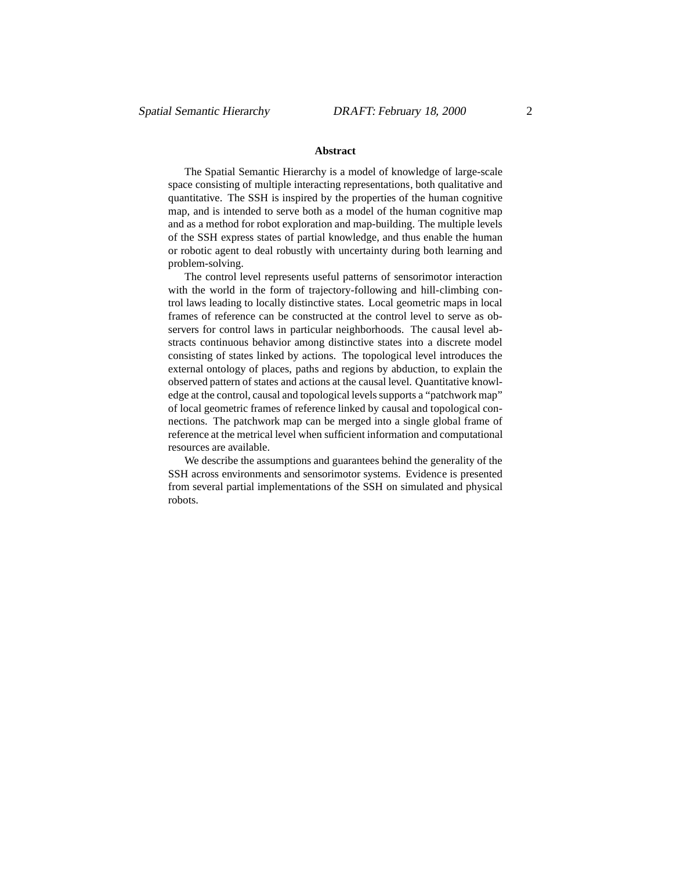#### **Abstract**

The Spatial Semantic Hierarchy is a model of knowledge of large-scale space consisting of multiple interacting representations, both qualitative and quantitative. The SSH is inspired by the properties of the human cognitive map, and is intended to serve both as a model of the human cognitive map and as a method for robot exploration and map-building. The multiple levels of the SSH express states of partial knowledge, and thus enable the human or robotic agent to deal robustly with uncertainty during both learning and problem-solving.

The control level represents useful patterns of sensorimotor interaction with the world in the form of trajectory-following and hill-climbing control laws leading to locally distinctive states. Local geometric maps in local frames of reference can be constructed at the control level to serve as observers for control laws in particular neighborhoods. The causal level abstracts continuous behavior among distinctive states into a discrete model consisting of states linked by actions. The topological level introduces the external ontology of places, paths and regions by abduction, to explain the observed pattern of states and actions at the causal level. Quantitative knowledge at the control, causal and topological levels supports a "patchwork map" of local geometric frames of reference linked by causal and topological connections. The patchwork map can be merged into a single global frame of reference at the metrical level when sufficient information and computational resources are available.

We describe the assumptions and guarantees behind the generality of the SSH across environments and sensorimotor systems. Evidence is presented from several partial implementations of the SSH on simulated and physical robots.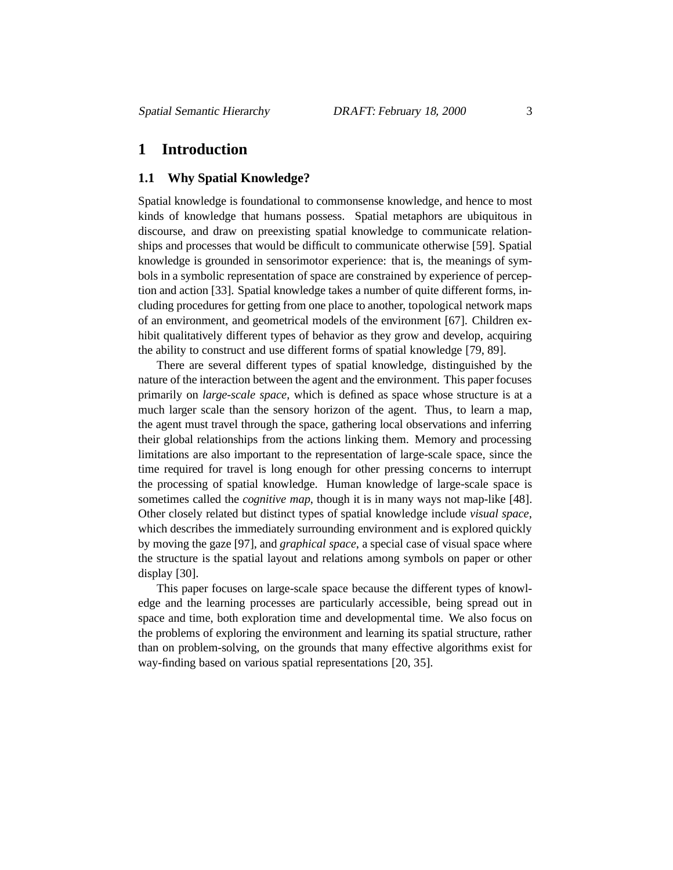## **1 Introduction**

### **1.1 Why Spatial Knowledge?**

Spatial knowledge is foundational to commonsense knowledge, and hence to most kinds of knowledge that humans possess. Spatial metaphors are ubiquitous in discourse, and draw on preexisting spatial knowledge to communicate relationships and processes that would be difficult to communicate otherwise [59]. Spatial knowledge is grounded in sensorimotor experience: that is, the meanings of symbols in a symbolic representation of space are constrained by experience of perception and action [33]. Spatial knowledge takes a number of quite different forms, including procedures for getting from one place to another, topological network maps of an environment, and geometrical models of the environment [67]. Children exhibit qualitatively different types of behavior as they grow and develop, acquiring the ability to construct and use different forms of spatial knowledge [79, 89].

There are several different types of spatial knowledge, distinguished by the nature of the interaction between the agent and the environment. This paper focuses primarily on *large-scale space*, which is defined as space whose structure is at a much larger scale than the sensory horizon of the agent. Thus, to learn a map, the agent must travel through the space, gathering local observations and inferring their global relationships from the actions linking them. Memory and processing limitations are also important to the representation of large-scale space, since the time required for travel is long enough for other pressing concerns to interrupt the processing of spatial knowledge. Human knowledge of large-scale space is sometimes called the *cognitive map*, though it is in many ways not map-like [48]. Other closely related but distinct types of spatial knowledge include *visual space*, which describes the immediately surrounding environment and is explored quickly by moving the gaze [97], and *graphical space*, a special case of visual space where the structure is the spatial layout and relations among symbols on paper or other display [30].

This paper focuses on large-scale space because the different types of knowledge and the learning processes are particularly accessible, being spread out in space and time, both exploration time and developmental time. We also focus on the problems of exploring the environment and learning its spatial structure, rather than on problem-solving, on the grounds that many effective algorithms exist for way-finding based on various spatial representations [20, 35].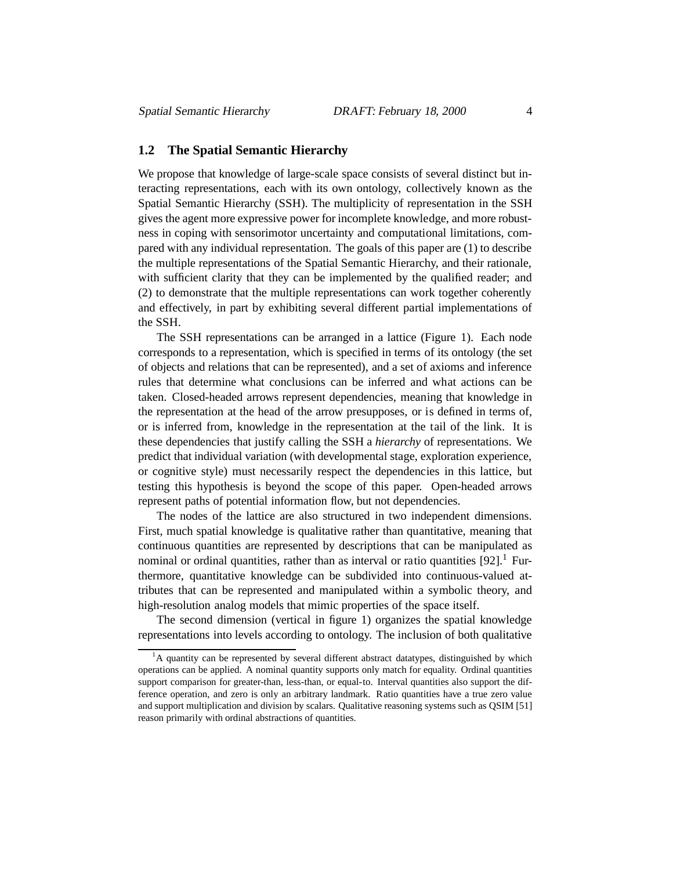## **1.2 The Spatial Semantic Hierarchy**

We propose that knowledge of large-scale space consists of several distinct but interacting representations, each with its own ontology, collectively known as the Spatial Semantic Hierarchy (SSH). The multiplicity of representation in the SSH gives the agent more expressive power for incomplete knowledge, and more robustness in coping with sensorimotor uncertainty and computational limitations, compared with any individual representation. The goals of this paper are (1) to describe the multiple representations of the Spatial Semantic Hierarchy, and their rationale, with sufficient clarity that they can be implemented by the qualified reader; and (2) to demonstrate that the multiple representations can work together coherently and effectively, in part by exhibiting several different partial implementations of the SSH.

The SSH representations can be arranged in a lattice (Figure 1). Each node corresponds to a representation, which is specified in terms of its ontology (the set of objects and relations that can be represented), and a set of axioms and inference rules that determine what conclusions can be inferred and what actions can be taken. Closed-headed arrows represent dependencies, meaning that knowledge in the representation at the head of the arrow presupposes, or is defined in terms of, or is inferred from, knowledge in the representation at the tail of the link. It is these dependencies that justify calling the SSH a *hierarchy* of representations. We predict that individual variation (with developmental stage, exploration experience, or cognitive style) must necessarily respect the dependencies in this lattice, but testing this hypothesis is beyond the scope of this paper. Open-headed arrows represent paths of potential information flow, but not dependencies.

The nodes of the lattice are also structured in two independent dimensions. First, much spatial knowledge is qualitative rather than quantitative, meaning that continuous quantities are represented by descriptions that can be manipulated as nominal or ordinal quantities, rather than as interval or ratio quantities  $[92]$ <sup>1</sup>. Furthermore, quantitative knowledge can be subdivided into continuous-valued attributes that can be represented and manipulated within a symbolic theory, and high-resolution analog models that mimic properties of the space itself.

The second dimension (vertical in figure 1) organizes the spatial knowledge representations into levels according to ontology. The inclusion of both qualitative

 $<sup>1</sup>A$  quantity can be represented by several different abstract datatypes, distinguished by which</sup> operations can be applied. A nominal quantity supports only match for equality. Ordinal quantities support comparison for greater-than, less-than, or equal-to. Interval quantities also support the difference operation, and zero is only an arbitrary landmark. Ratio quantities have a true zero value and support multiplication and division by scalars. Qualitative reasoning systems such as QSIM [51] reason primarily with ordinal abstractions of quantities.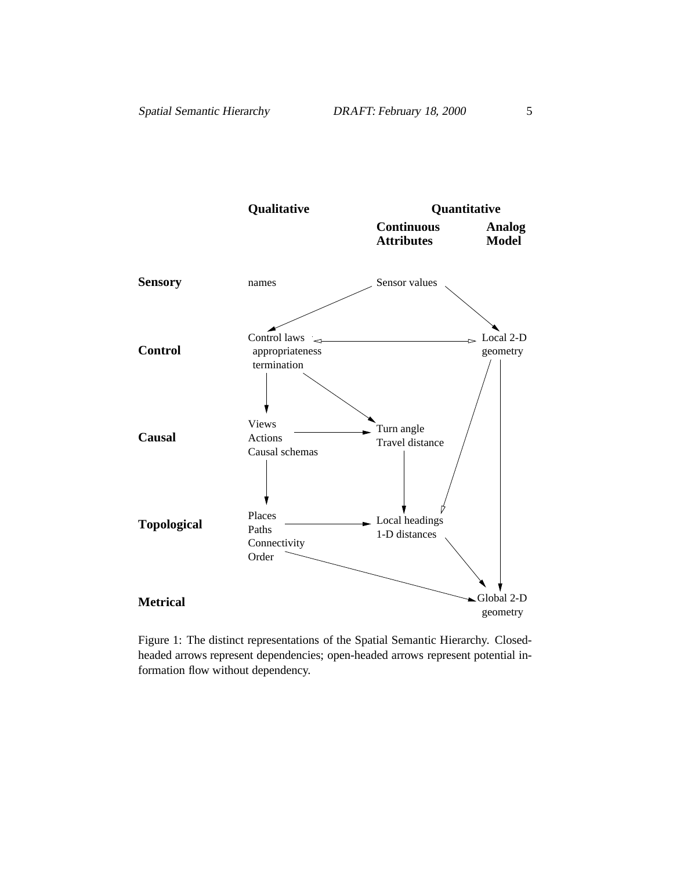

Figure 1: The distinct representations of the Spatial Semantic Hierarchy. Closedheaded arrows represent dependencies; open-headed arrows represent potential information flow without dependency.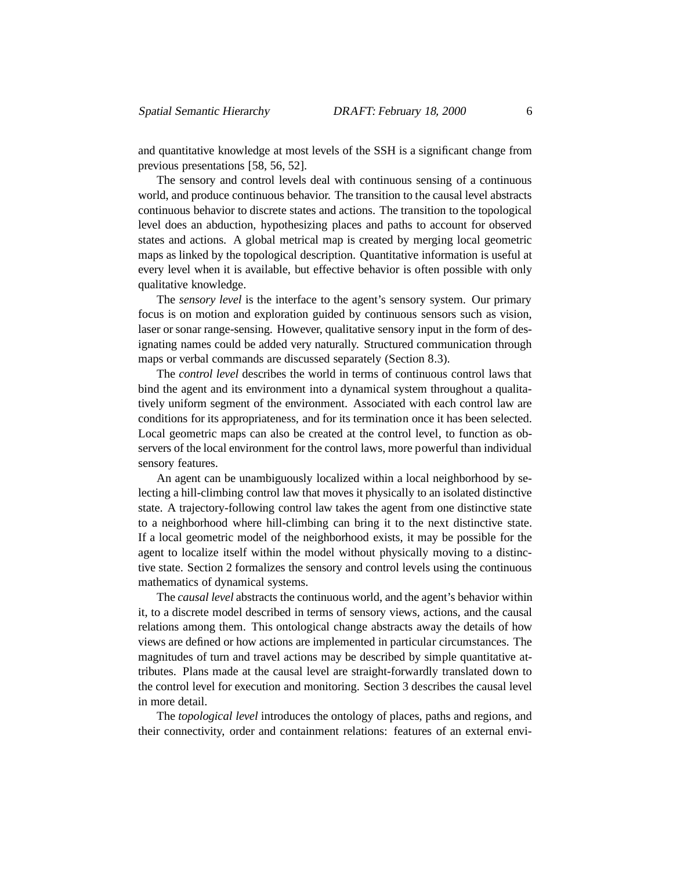and quantitative knowledge at most levels of the SSH is a significant change from previous presentations [58, 56, 52].

The sensory and control levels deal with continuous sensing of a continuous world, and produce continuous behavior. The transition to the causal level abstracts continuous behavior to discrete states and actions. The transition to the topological level does an abduction, hypothesizing places and paths to account for observed states and actions. A global metrical map is created by merging local geometric maps as linked by the topological description. Quantitative information is useful at every level when it is available, but effective behavior is often possible with only qualitative knowledge.

The *sensory level* is the interface to the agent's sensory system. Our primary focus is on motion and exploration guided by continuous sensors such as vision, laser or sonar range-sensing. However, qualitative sensory input in the form of designating names could be added very naturally. Structured communication through maps or verbal commands are discussed separately (Section 8.3).

The *control level* describes the world in terms of continuous control laws that bind the agent and its environment into a dynamical system throughout a qualitatively uniform segment of the environment. Associated with each control law are conditions for its appropriateness, and for its termination once it has been selected. Local geometric maps can also be created at the control level, to function as observers of the local environment for the control laws, more powerful than individual sensory features.

An agent can be unambiguously localized within a local neighborhood by selecting a hill-climbing control law that moves it physically to an isolated distinctive state. A trajectory-following control law takes the agent from one distinctive state to a neighborhood where hill-climbing can bring it to the next distinctive state. If a local geometric model of the neighborhood exists, it may be possible for the agent to localize itself within the model without physically moving to a distinctive state. Section 2 formalizes the sensory and control levels using the continuous mathematics of dynamical systems.

The *causal level* abstracts the continuous world, and the agent's behavior within it, to a discrete model described in terms of sensory views, actions, and the causal relations among them. This ontological change abstracts away the details of how views are defined or how actions are implemented in particular circumstances. The magnitudes of turn and travel actions may be described by simple quantitative attributes. Plans made at the causal level are straight-forwardly translated down to the control level for execution and monitoring. Section 3 describes the causal level in more detail.

The *topological level* introduces the ontology of places, paths and regions, and their connectivity, order and containment relations: features of an external envi-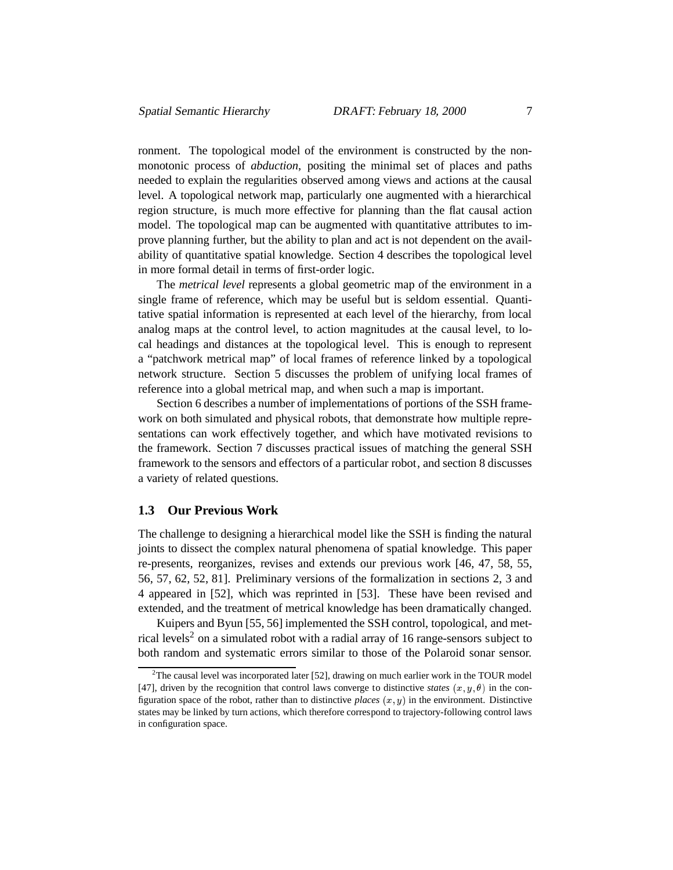ronment. The topological model of the environment is constructed by the nonmonotonic process of *abduction*, positing the minimal set of places and paths needed to explain the regularities observed among views and actions at the causal level. A topological network map, particularly one augmented with a hierarchical region structure, is much more effective for planning than the flat causal action model. The topological map can be augmented with quantitative attributes to improve planning further, but the ability to plan and act is not dependent on the availability of quantitative spatial knowledge. Section 4 describes the topological level in more formal detail in terms of first-order logic.

The *metrical level* represents a global geometric map of the environment in a single frame of reference, which may be useful but is seldom essential. Quantitative spatial information is represented at each level of the hierarchy, from local analog maps at the control level, to action magnitudes at the causal level, to local headings and distances at the topological level. This is enough to represent a "patchwork metrical map" of local frames of reference linked by a topological network structure. Section 5 discusses the problem of unifying local frames of reference into a global metrical map, and when such a map is important.

Section 6 describes a number of implementations of portions of the SSH framework on both simulated and physical robots, that demonstrate how multiple representations can work effectively together, and which have motivated revisions to the framework. Section 7 discusses practical issues of matching the general SSH framework to the sensors and effectors of a particular robot, and section 8 discusses a variety of related questions.

## **1.3 Our Previous Work**

The challenge to designing a hierarchical model like the SSH is finding the natural joints to dissect the complex natural phenomena of spatial knowledge. This paper re-presents, reorganizes, revises and extends our previous work [46, 47, 58, 55, 56, 57, 62, 52, 81]. Preliminary versions of the formalization in sections 2, 3 and 4 appeared in [52], which was reprinted in [53]. These have been revised and extended, and the treatment of metrical knowledge has been dramatically changed.

Kuipers and Byun [55, 56] implemented the SSH control, topological, and metrical levels<sup>2</sup> on a simulated robot with a radial array of 16 range-sensors subject to both random and systematic errors similar to those of the Polaroid sonar sensor.

 $2^2$ The causal level was incorporated later [52], drawing on much earlier work in the TOUR model [47], driven by the recognition that control laws converge to distinctive *states*  $(x, y, \theta)$  in the configuration space of the robot, rather than to distinctive *places*  $(x, y)$  in the environment. Distinctive states may be linked by turn actions, which therefore correspond to trajectory-following control laws in configuration space.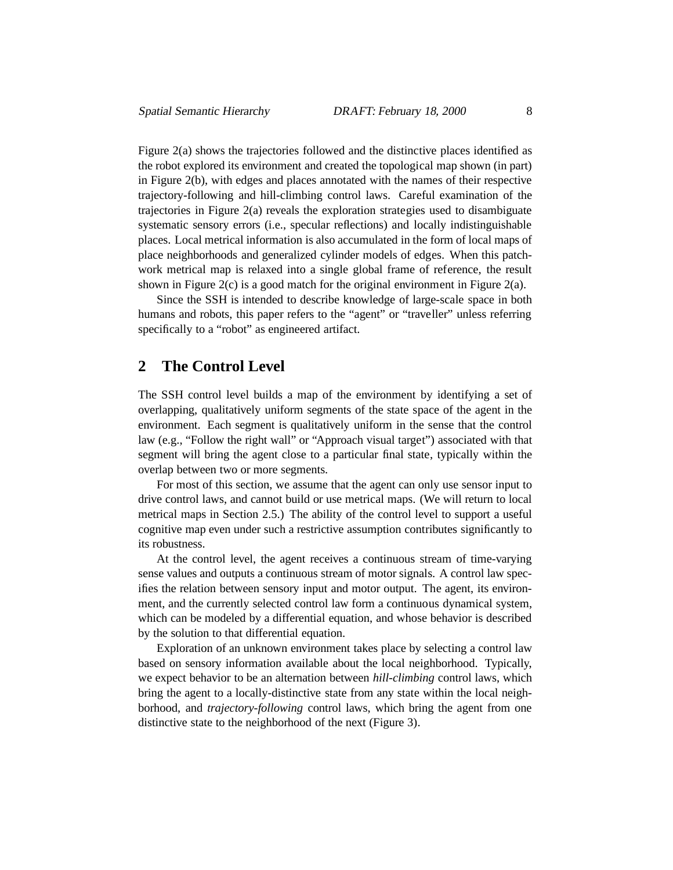Figure 2(a) shows the trajectories followed and the distinctive places identified as the robot explored its environment and created the topological map shown (in part) in Figure 2(b), with edges and places annotated with the names of their respective trajectory-following and hill-climbing control laws. Careful examination of the trajectories in Figure 2(a) reveals the exploration strategies used to disambiguate systematic sensory errors (i.e., specular reflections) and locally indistinguishable places. Local metrical information is also accumulated in the form of local maps of place neighborhoods and generalized cylinder models of edges. When this patchwork metrical map is relaxed into a single global frame of reference, the result shown in Figure 2(c) is a good match for the original environment in Figure 2(a).

Since the SSH is intended to describe knowledge of large-scale space in both humans and robots, this paper refers to the "agent" or "traveller" unless referring specifically to a "robot" as engineered artifact.

## **2 The Control Level**

The SSH control level builds a map of the environment by identifying a set of overlapping, qualitatively uniform segments of the state space of the agent in the environment. Each segment is qualitatively uniform in the sense that the control law (e.g., "Follow the right wall" or "Approach visual target") associated with that segment will bring the agent close to a particular final state, typically within the overlap between two or more segments.

For most of this section, we assume that the agent can only use sensor input to drive control laws, and cannot build or use metrical maps. (We will return to local metrical maps in Section 2.5.) The ability of the control level to support a useful cognitive map even under such a restrictive assumption contributes significantly to its robustness.

At the control level, the agent receives a continuous stream of time-varying sense values and outputs a continuous stream of motor signals. A control law specifies the relation between sensory input and motor output. The agent, its environment, and the currently selected control law form a continuous dynamical system, which can be modeled by a differential equation, and whose behavior is described by the solution to that differential equation.

Exploration of an unknown environment takes place by selecting a control law based on sensory information available about the local neighborhood. Typically, we expect behavior to be an alternation between *hill-climbing* control laws, which bring the agent to a locally-distinctive state from any state within the local neighborhood, and *trajectory-following* control laws, which bring the agent from one distinctive state to the neighborhood of the next (Figure 3).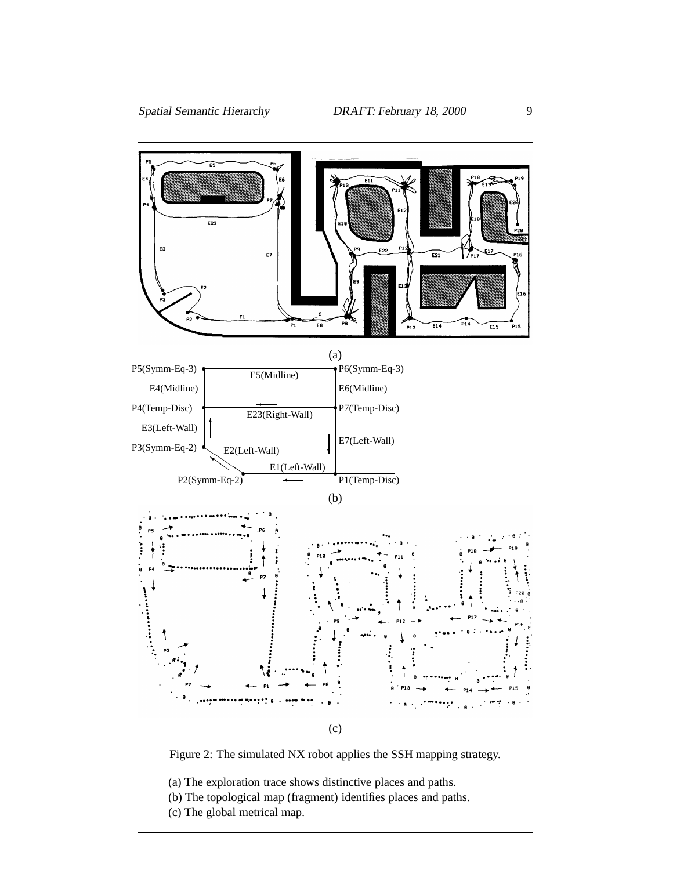

Figure 2: The simulated NX robot applies the SSH mapping strategy.

- (a) The exploration trace shows distinctive places and paths.
- (b) The topological map (fragment) identifies places and paths.
- (c) The global metrical map.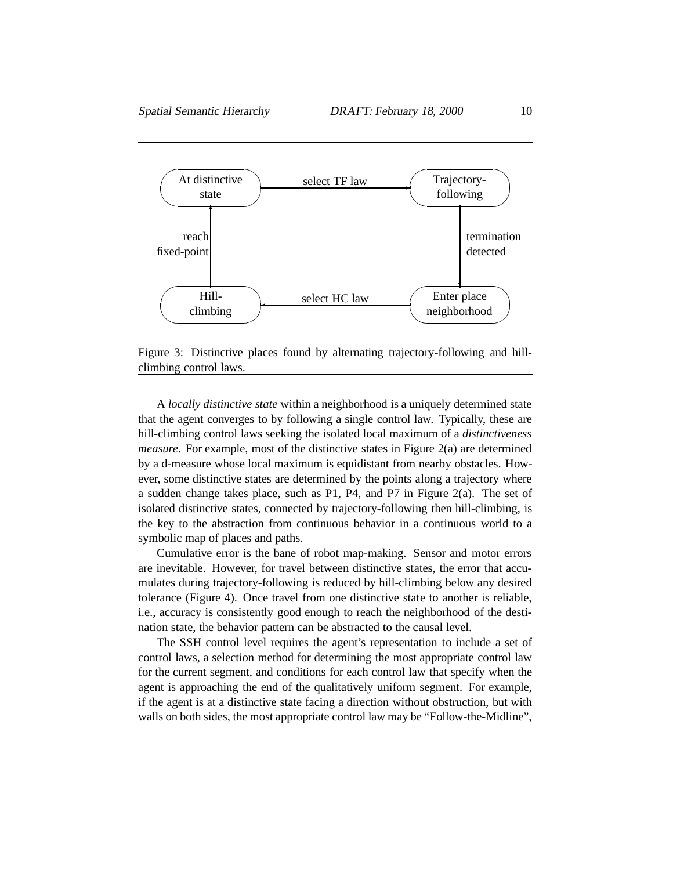

Figure 3: Distinctive places found by alternating trajectory-following and hillclimbing control laws.

A *locally distinctive state* within a neighborhood is a uniquely determined state that the agent converges to by following a single control law. Typically, these are hill-climbing control laws seeking the isolated local maximum of a *distinctiveness measure*. For example, most of the distinctive states in Figure 2(a) are determined by a d-measure whose local maximum is equidistant from nearby obstacles. However, some distinctive states are determined by the points along a trajectory where a sudden change takes place, such as P1, P4, and P7 in Figure 2(a). The set of isolated distinctive states, connected by trajectory-following then hill-climbing, is the key to the abstraction from continuous behavior in a continuous world to a symbolic map of places and paths.

Cumulative error is the bane of robot map-making. Sensor and motor errors are inevitable. However, for travel between distinctive states, the error that accumulates during trajectory-following is reduced by hill-climbing below any desired tolerance (Figure 4). Once travel from one distinctive state to another is reliable, i.e., accuracy is consistently good enough to reach the neighborhood of the destination state, the behavior pattern can be abstracted to the causal level.

The SSH control level requires the agent's representation to include a set of control laws, a selection method for determining the most appropriate control law for the current segment, and conditions for each control law that specify when the agent is approaching the end of the qualitatively uniform segment. For example, if the agent is at a distinctive state facing a direction without obstruction, but with walls on both sides, the most appropriate control law may be "Follow-the-Midline",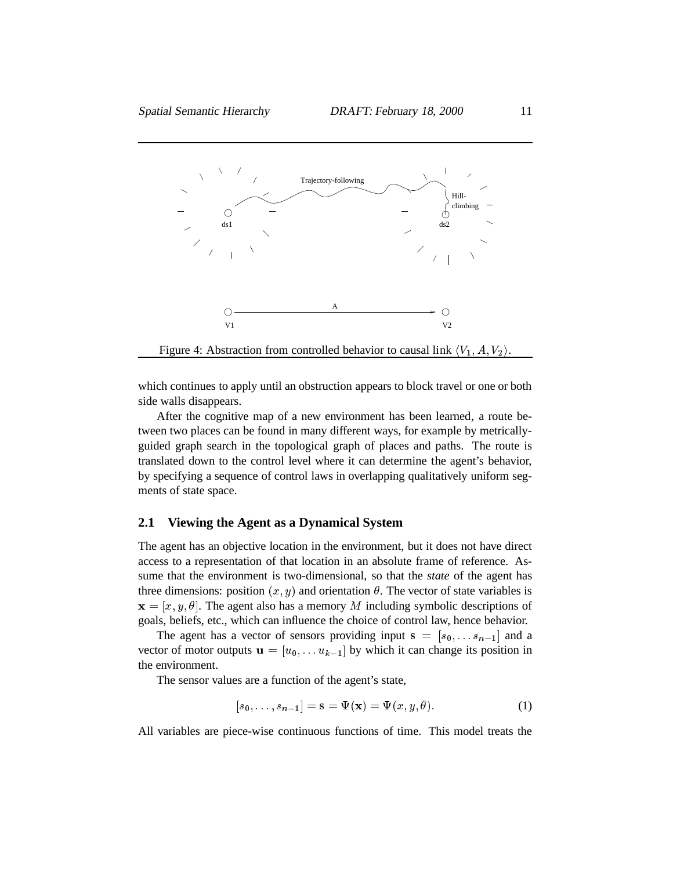

Figure 4: Abstraction from controlled behavior to causal link  $\langle V_1, A, V_2 \rangle$ .

which continues to apply until an obstruction appears to block travel or one or both side walls disappears.

After the cognitive map of a new environment has been learned, a route between two places can be found in many different ways, for example by metricallyguided graph search in the topological graph of places and paths. The route is translated down to the control level where it can determine the agent's behavior, by specifying a sequence of control laws in overlapping qualitatively uniform segments of state space.

#### **2.1 Viewing the Agent as a Dynamical System**

The agent has an objective location in the environment, but it does not have direct access to a representation of that location in an absolute frame of reference. Assume that the environment is two-dimensional, so that the *state* of the agent has three dimensions: position  $(x, y)$  and orientation  $\theta$ . The vector of state variables is  $\mathbf{x} = [x, y, \theta]$ . The agent also has a memory M including symbolic descriptions of goals, beliefs, etc., which can influence the choice of control law, hence behavior.

The agent has a vector of sensors providing input  $s = [s_0, \ldots s_{n-1}]$  and a vector of motor outputs  $\mathbf{u} = [u_0, \dots u_{k-1}]$  by which it can change its position in the environment.

The sensor values are a function of the agent's state,

$$
[s_0, \dots, s_{n-1}] = \mathbf{s} = \Psi(\mathbf{x}) = \Psi(x, y, \theta).
$$
 (1)

All variables are piece-wise continuous functions of time. This model treats the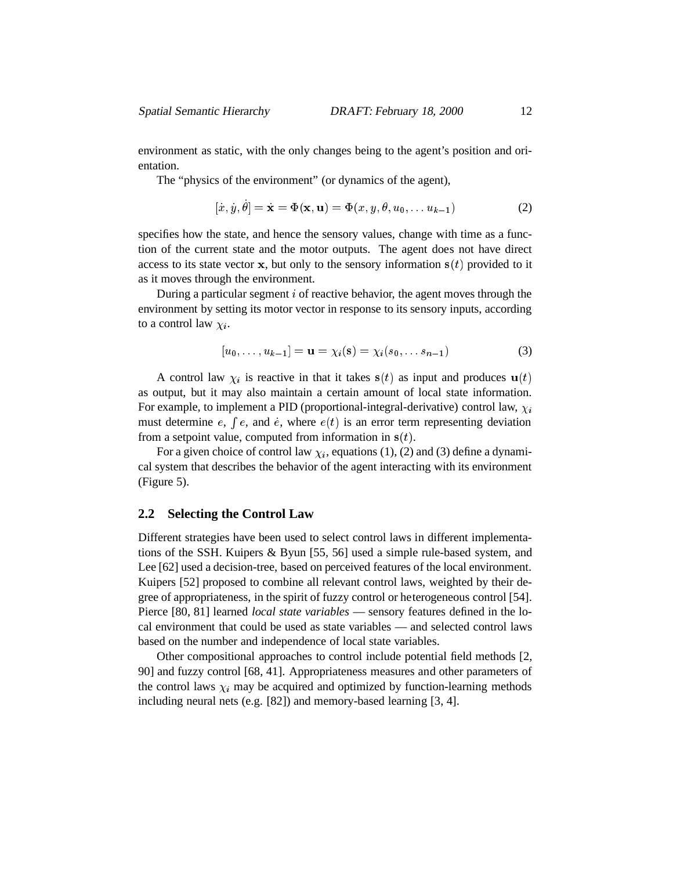environment as static, with the only changes being to the agent's position and orientation.

The "physics of the environment" (or dynamics of the agent),

$$
[\dot{x}, \dot{y}, \theta] = \dot{\mathbf{x}} = \Phi(\mathbf{x}, \mathbf{u}) = \Phi(x, y, \theta, u_0, \dots u_{k-1})
$$
\n(2)

specifies how the state, and hence the sensory values, change with time as a function of the current state and the motor outputs. The agent does not have direct access to its state vector x, but only to the sensory information  $s(t)$  provided to it as it moves through the environment.

During a particular segment  $i$  of reactive behavior, the agent moves through the environment by setting its motor vector in response to its sensory inputs, according to a control law  $\chi_i$ .

$$
[u_0, \dots, u_{k-1}] = \mathbf{u} = \chi_i(\mathbf{s}) = \chi_i(s_0, \dots s_{n-1})
$$
\n(3)

A control law  $\chi_i$  is reactive in that it takes  $s(t)$  as input and produces  $u(t)$ as output, but it may also maintain a certain amount of local state information. For example, to implement a PID (proportional-integral-derivative) control law,  $\chi_i$ must determine e,  $\int e$ , and  $\dot{e}$ , where  $e(t)$  is an error term representing deviation from a setpoint value, computed from information in  $s(t)$ .

For a given choice of control law  $\chi_i$ , equations (1), (2) and (3) define a dynamical system that describes the behavior of the agent interacting with its environment (Figure 5).

#### **2.2 Selecting the Control Law**

Different strategies have been used to select control laws in different implementations of the SSH. Kuipers & Byun [55, 56] used a simple rule-based system, and Lee [62] used a decision-tree, based on perceived features of the local environment. Kuipers [52] proposed to combine all relevant control laws, weighted by their degree of appropriateness, in the spirit of fuzzy control or heterogeneous control [54]. Pierce [80, 81] learned *local state variables* — sensory features defined in the local environment that could be used as state variables — and selected control laws based on the number and independence of local state variables.

Other compositional approaches to control include potential field methods [2, 90] and fuzzy control [68, 41]. Appropriateness measures and other parameters of the control laws  $\chi_i$  may be acquired and optimized by function-learning methods including neural nets (e.g. [82]) and memory-based learning [3, 4].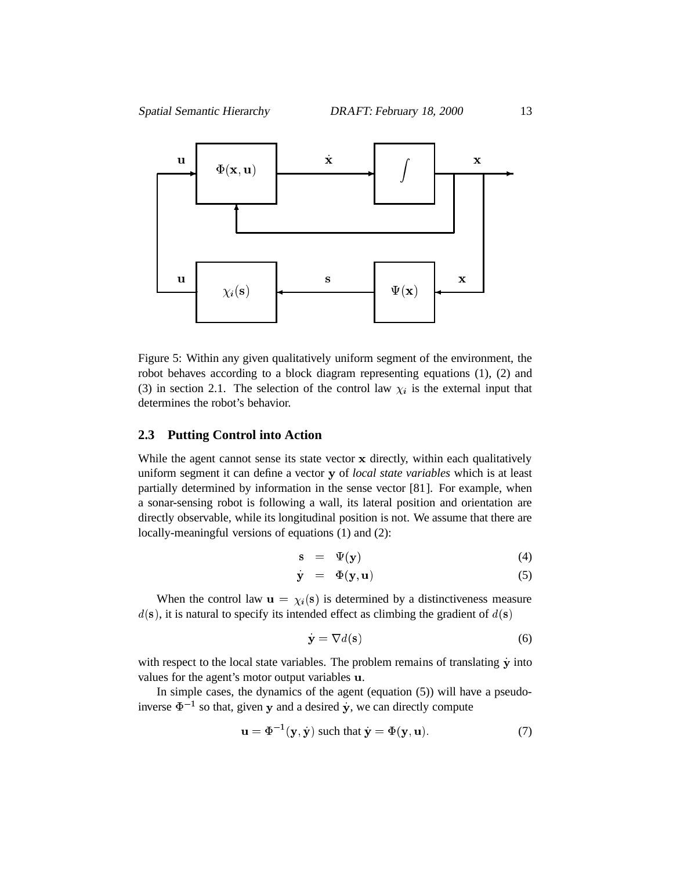

Figure 5: Within any given qualitatively uniform segment of the environment, the robot behaves according to a block diagram representing equations (1), (2) and (3) in section 2.1. The selection of the control law  $\chi_i$  is the external input that determines the robot's behavior.

## **2.3 Putting Control into Action**

While the agent cannot sense its state vector x directly, within each qualitatively uniform segment it can define a vector <sup>y</sup> of *local state variables* which is at least partially determined by information in the sense vector [81]. For example, when a sonar-sensing robot is following a wall, its lateral position and orientation are directly observable, while its longitudinal position is not. We assume that there are locally-meaningful versions of equations (1) and (2):

$$
s = \Psi(y) \tag{4}
$$

$$
\dot{\mathbf{y}} = \Phi(\mathbf{y}, \mathbf{u}) \tag{5}
$$

When the control law  $\mathbf{u} = \chi_i(\mathbf{s})$  is determined by a distinctiveness measure  $d(\mathbf{s})$ , it is natural to specify its intended effect as climbing the gradient of  $d(\mathbf{s})$ 

$$
\dot{\mathbf{y}} = \nabla d(\mathbf{s})\tag{6}
$$

with respect to the local state variables. The problem remains of translating  $\dot{y}$  into values for the agent's motor output variables <sup>u</sup>.

In simple cases, the dynamics of the agent (equation (5)) will have a pseudoinverse  $\Phi^{-1}$  so that, given y and a desired y, we can directly compute

$$
\mathbf{u} = \Phi^{-1}(\mathbf{y}, \dot{\mathbf{y}}) \text{ such that } \dot{\mathbf{y}} = \Phi(\mathbf{y}, \mathbf{u}). \tag{7}
$$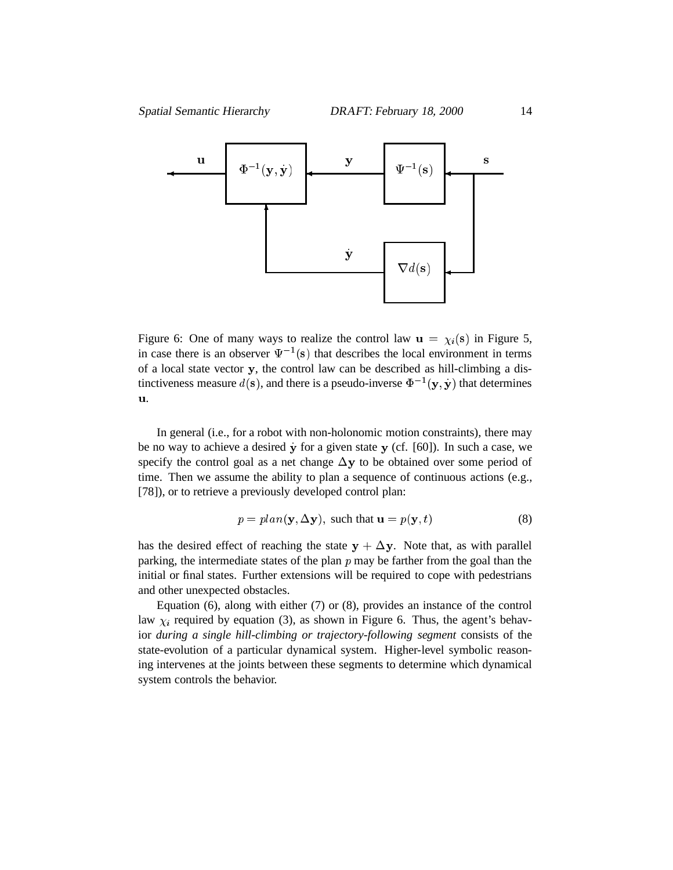

Figure 6: One of many ways to realize the control law  $u = \chi_i(s)$  in Figure 5, in case there is an observer  $\Psi^{-1}(s)$  that describes the local environment in terms of a local state vector <sup>y</sup>, the control law can be described as hill-climbing a distinctiveness measure  $d(s)$ , and there is a pseudo-inverse  $\Phi^{-1}(\mathbf{y}, \dot{\mathbf{y}})$  that determines u.

In general (i.e., for a robot with non-holonomic motion constraints), there may be no way to achieve a desired  $\dot{y}$  for a given state  $y$  (cf. [60]). In such a case, we specify the control goal as a net change  $\Delta y$  to be obtained over some period of time. Then we assume the ability to plan a sequence of continuous actions (e.g., [78]), or to retrieve a previously developed control plan:

$$
p = plan(\mathbf{y}, \Delta \mathbf{y}), \text{ such that } \mathbf{u} = p(\mathbf{y}, t) \tag{8}
$$

has the desired effect of reaching the state  $y + \Delta y$ . Note that, as with parallel parking, the intermediate states of the plan  $p$  may be farther from the goal than the initial or final states. Further extensions will be required to cope with pedestrians and other unexpected obstacles.

Equation (6), along with either (7) or (8), provides an instance of the control law  $\chi_i$  required by equation (3), as shown in Figure 6. Thus, the agent's behavior *during a single hill-climbing or trajectory-following segment* consists of the state-evolution of a particular dynamical system. Higher-level symbolic reasoning intervenes at the joints between these segments to determine which dynamical system controls the behavior.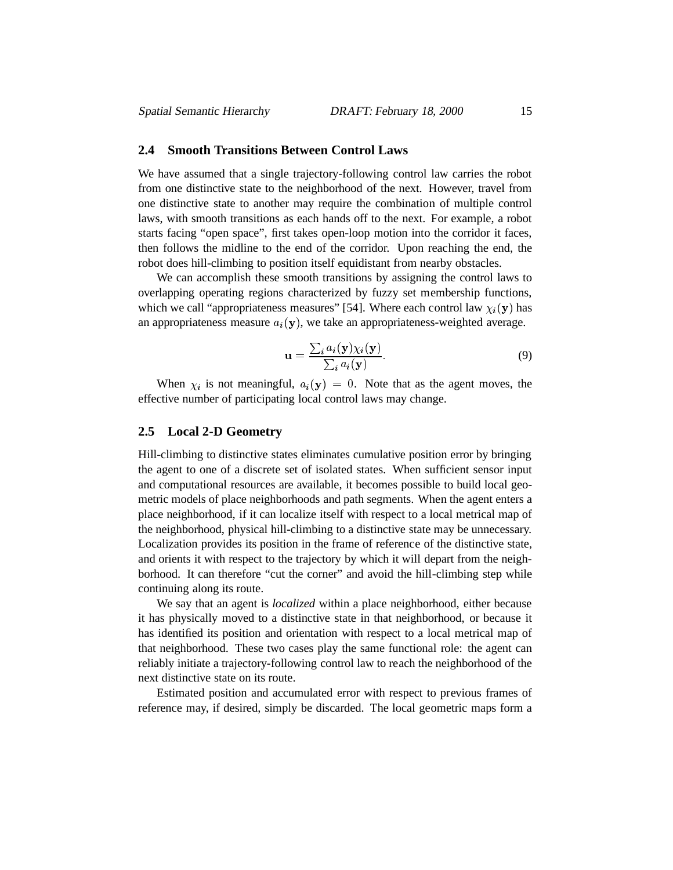## **2.4 Smooth Transitions Between Control Laws**

We have assumed that a single trajectory-following control law carries the robot from one distinctive state to the neighborhood of the next. However, travel from one distinctive state to another may require the combination of multiple control laws, with smooth transitions as each hands off to the next. For example, a robot starts facing "open space", first takes open-loop motion into the corridor it faces, then follows the midline to the end of the corridor. Upon reaching the end, the robot does hill-climbing to position itself equidistant from nearby obstacles.

We can accomplish these smooth transitions by assigning the control laws to overlapping operating regions characterized by fuzzy set membership functions, which we call "appropriateness measures" [54]. Where each control law  $\chi_i(\mathbf{y})$  has an appropriateness measure  $a_i(y)$ , we take an appropriateness-weighted average.

$$
\mathbf{u} = \frac{\sum_{i} a_i(\mathbf{y}) \chi_i(\mathbf{y})}{\sum_{i} a_i(\mathbf{y})}.
$$
 (9)

When  $\chi_i$  is not meaningful,  $a_i(\mathbf{y}) = 0$ . Note that as the agent moves, the effective number of participating local control laws may change.

## **2.5 Local 2-D Geometry**

Hill-climbing to distinctive states eliminates cumulative position error by bringing the agent to one of a discrete set of isolated states. When sufficient sensor input and computational resources are available, it becomes possible to build local geometric models of place neighborhoods and path segments. When the agent enters a place neighborhood, if it can localize itself with respect to a local metrical map of the neighborhood, physical hill-climbing to a distinctive state may be unnecessary. Localization provides its position in the frame of reference of the distinctive state, and orients it with respect to the trajectory by which it will depart from the neighborhood. It can therefore "cut the corner" and avoid the hill-climbing step while continuing along its route.

We say that an agent is *localized* within a place neighborhood, either because it has physically moved to a distinctive state in that neighborhood, or because it has identified its position and orientation with respect to a local metrical map of that neighborhood. These two cases play the same functional role: the agent can reliably initiate a trajectory-following control law to reach the neighborhood of the next distinctive state on its route.

Estimated position and accumulated error with respect to previous frames of reference may, if desired, simply be discarded. The local geometric maps form a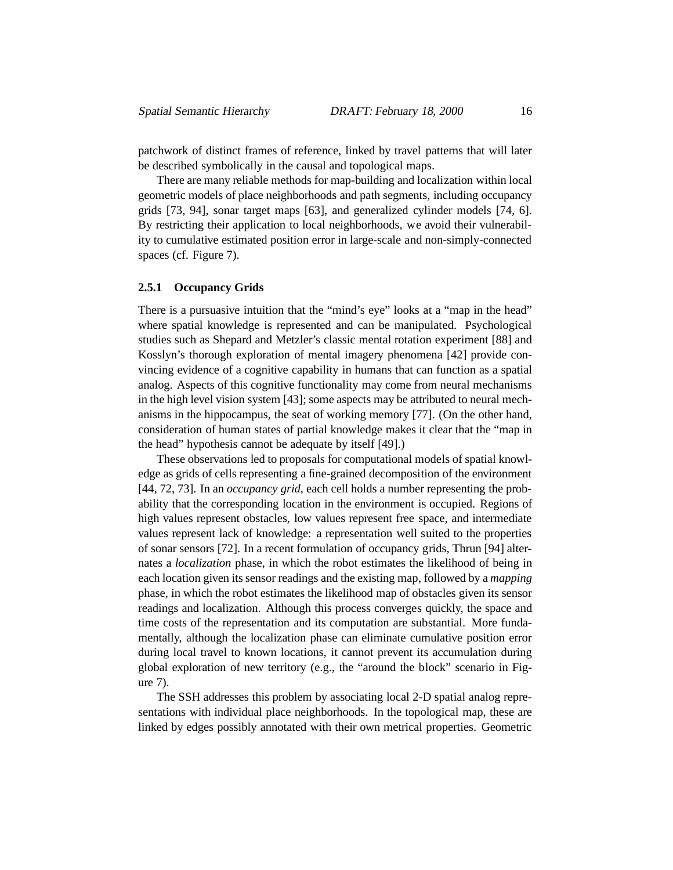patchwork of distinct frames of reference, linked by travel patterns that will later be described symbolically in the causal and topological maps.

There are many reliable methods for map-building and localization within local geometric models of place neighborhoods and path segments, including occupancy grids [73, 94], sonar target maps [63], and generalized cylinder models [74, 6]. By restricting their application to local neighborhoods, we avoid their vulnerability to cumulative estimated position error in large-scale and non-simply-connected spaces (cf. Figure 7).

#### **2.5.1 Occupancy Grids**

There is a pursuasive intuition that the "mind's eye" looks at a "map in the head" where spatial knowledge is represented and can be manipulated. Psychological studies such as Shepard and Metzler's classic mental rotation experiment [88] and Kosslyn's thorough exploration of mental imagery phenomena [42] provide convincing evidence of a cognitive capability in humans that can function as a spatial analog. Aspects of this cognitive functionality may come from neural mechanisms in the high level vision system [43]; some aspects may be attributed to neural mechanisms in the hippocampus, the seat of working memory [77]. (On the other hand, consideration of human states of partial knowledge makes it clear that the "map in the head" hypothesis cannot be adequate by itself [49].)

These observations led to proposals for computational models of spatial knowledge as grids of cells representing a fine-grained decomposition of the environment [44, 72, 73]. In an *occupancy grid*, each cell holds a number representing the probability that the corresponding location in the environment is occupied. Regions of high values represent obstacles, low values represent free space, and intermediate values represent lack of knowledge: a representation well suited to the properties of sonar sensors [72]. In a recent formulation of occupancy grids, Thrun [94] alternates a *localization* phase, in which the robot estimates the likelihood of being in each location given its sensor readings and the existing map, followed by a *mapping* phase, in which the robot estimates the likelihood map of obstacles given its sensor readings and localization. Although this process converges quickly, the space and time costs of the representation and its computation are substantial. More fundamentally, although the localization phase can eliminate cumulative position error during local travel to known locations, it cannot prevent its accumulation during global exploration of new territory (e.g., the "around the block" scenario in Figure 7).

The SSH addresses this problem by associating local 2-D spatial analog representations with individual place neighborhoods. In the topological map, these are linked by edges possibly annotated with their own metrical properties. Geometric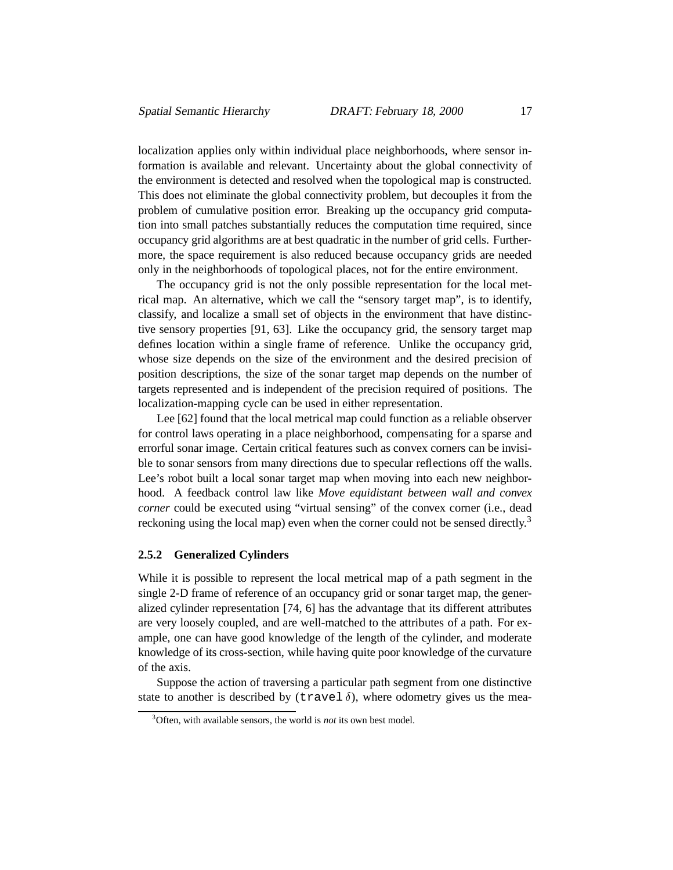localization applies only within individual place neighborhoods, where sensor information is available and relevant. Uncertainty about the global connectivity of the environment is detected and resolved when the topological map is constructed. This does not eliminate the global connectivity problem, but decouples it from the problem of cumulative position error. Breaking up the occupancy grid computation into small patches substantially reduces the computation time required, since occupancy grid algorithms are at best quadratic in the number of grid cells. Furthermore, the space requirement is also reduced because occupancy grids are needed only in the neighborhoods of topological places, not for the entire environment.

The occupancy grid is not the only possible representation for the local metrical map. An alternative, which we call the "sensory target map", is to identify, classify, and localize a small set of objects in the environment that have distinctive sensory properties [91, 63]. Like the occupancy grid, the sensory target map defines location within a single frame of reference. Unlike the occupancy grid, whose size depends on the size of the environment and the desired precision of position descriptions, the size of the sonar target map depends on the number of targets represented and is independent of the precision required of positions. The localization-mapping cycle can be used in either representation.

Lee [62] found that the local metrical map could function as a reliable observer for control laws operating in a place neighborhood, compensating for a sparse and errorful sonar image. Certain critical features such as convex corners can be invisible to sonar sensors from many directions due to specular reflections off the walls. Lee's robot built a local sonar target map when moving into each new neighborhood. A feedback control law like *Move equidistant between wall and convex corner* could be executed using "virtual sensing" of the convex corner (i.e., dead reckoning using the local map) even when the corner could not be sensed directly.<sup>3</sup>

#### **2.5.2 Generalized Cylinders**

While it is possible to represent the local metrical map of a path segment in the single 2-D frame of reference of an occupancy grid or sonar target map, the generalized cylinder representation [74, 6] has the advantage that its different attributes are very loosely coupled, and are well-matched to the attributes of a path. For example, one can have good knowledge of the length of the cylinder, and moderate knowledge of its cross-section, while having quite poor knowledge of the curvature of the axis.

Suppose the action of traversing a particular path segment from one distinctive state to another is described by ( $\text{travel } \delta$ ), where odometry gives us the mea-

<sup>3</sup>Often, with available sensors, the world is *not* its own best model.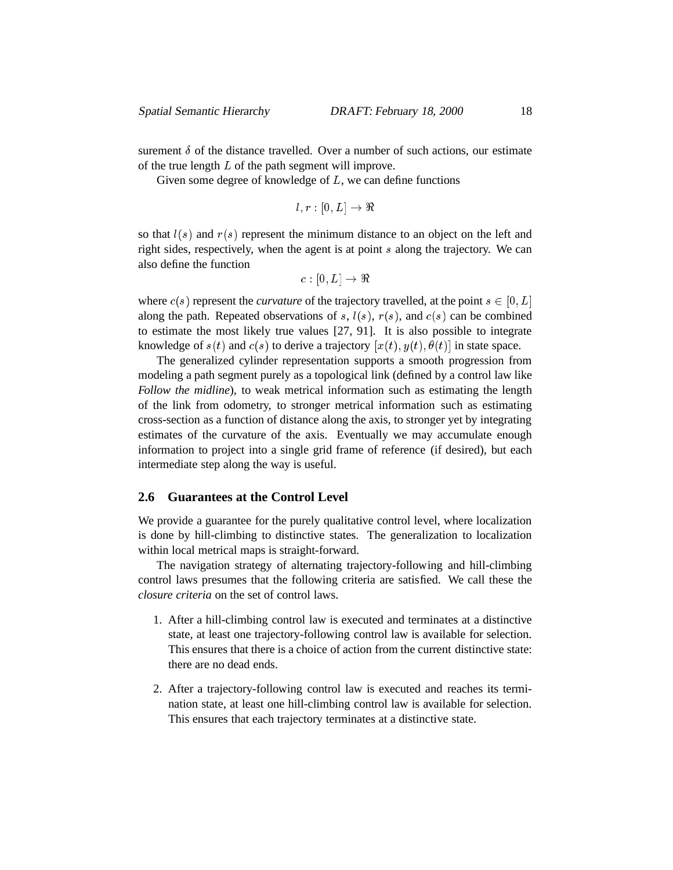surement  $\delta$  of the distance travelled. Over a number of such actions, our estimate of the true length <sup>L</sup> of the path segment will improve.

Given some degree of knowledge of  $L$ , we can define functions

$$
l, r: [0, L] \rightarrow \Re
$$

so that  $l(s)$  and  $r(s)$  represent the minimum distance to an object on the left and right sides, respectively, when the agent is at point  $s$  along the trajectory. We can also define the function

$$
c:[0,L]\to\Re
$$

where  $c(s)$  represent the *curvature* of the trajectory travelled, at the point  $s \in [0, L]$ along the path. Repeated observations of s,  $l(s)$ ,  $r(s)$ , and  $c(s)$  can be combined to estimate the most likely true values [27, 91]. It is also possible to integrate knowledge of  $s(t)$  and  $c(s)$  to derive a trajectory  $[x(t), y(t), \theta(t)]$  in state space.

The generalized cylinder representation supports a smooth progression from modeling a path segment purely as a topological link (defined by a control law like *Follow the midline*), to weak metrical information such as estimating the length of the link from odometry, to stronger metrical information such as estimating cross-section as a function of distance along the axis, to stronger yet by integrating estimates of the curvature of the axis. Eventually we may accumulate enough information to project into a single grid frame of reference (if desired), but each intermediate step along the way is useful.

## **2.6 Guarantees at the Control Level**

We provide a guarantee for the purely qualitative control level, where localization is done by hill-climbing to distinctive states. The generalization to localization within local metrical maps is straight-forward.

The navigation strategy of alternating trajectory-following and hill-climbing control laws presumes that the following criteria are satisfied. We call these the *closure criteria* on the set of control laws.

- 1. After a hill-climbing control law is executed and terminates at a distinctive state, at least one trajectory-following control law is available for selection. This ensures that there is a choice of action from the current distinctive state: there are no dead ends.
- 2. After a trajectory-following control law is executed and reaches its termination state, at least one hill-climbing control law is available for selection. This ensures that each trajectory terminates at a distinctive state.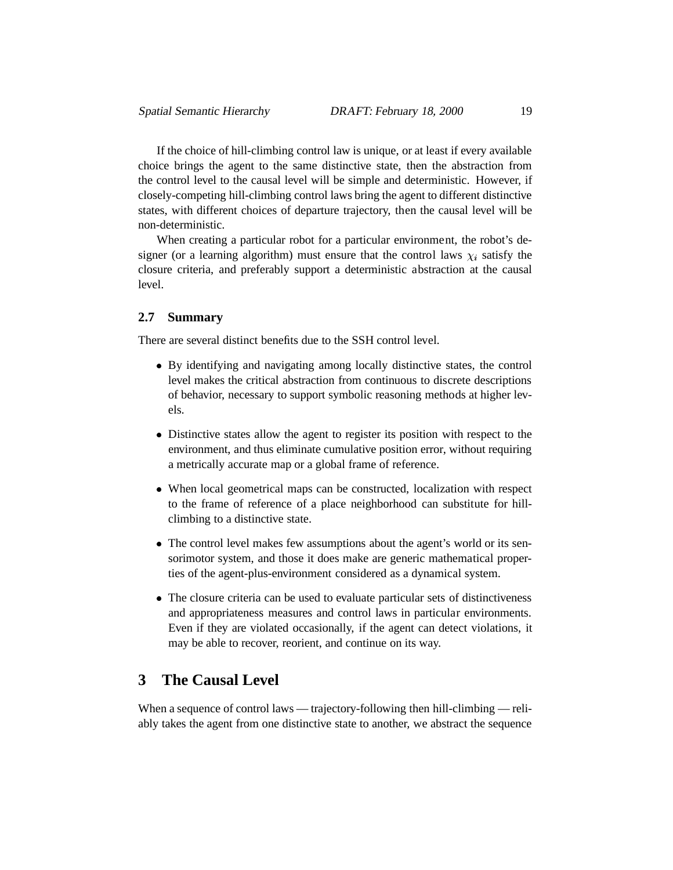If the choice of hill-climbing control law is unique, or at least if every available choice brings the agent to the same distinctive state, then the abstraction from the control level to the causal level will be simple and deterministic. However, if closely-competing hill-climbing control laws bring the agent to different distinctive states, with different choices of departure trajectory, then the causal level will be non-deterministic.

When creating a particular robot for a particular environment, the robot's designer (or a learning algorithm) must ensure that the control laws  $\chi_i$  satisfy the closure criteria, and preferably support a deterministic abstraction at the causal level.

### **2.7 Summary**

There are several distinct benefits due to the SSH control level.

- By identifying and navigating among locally distinctive states, the control level makes the critical abstraction from continuous to discrete descriptions of behavior, necessary to support symbolic reasoning methods at higher levels.
- Distinctive states allow the agent to register its position with respect to the environment, and thus eliminate cumulative position error, without requiring a metrically accurate map or a global frame of reference.
- When local geometrical maps can be constructed, localization with respect to the frame of reference of a place neighborhood can substitute for hillclimbing to a distinctive state.
- The control level makes few assumptions about the agent's world or its sensorimotor system, and those it does make are generic mathematical properties of the agent-plus-environment considered as a dynamical system.
- The closure criteria can be used to evaluate particular sets of distinctiveness and appropriateness measures and control laws in particular environments. Even if they are violated occasionally, if the agent can detect violations, it may be able to recover, reorient, and continue on its way.

## **3 The Causal Level**

When a sequence of control laws — trajectory-following then hill-climbing — reliably takes the agent from one distinctive state to another, we abstract the sequence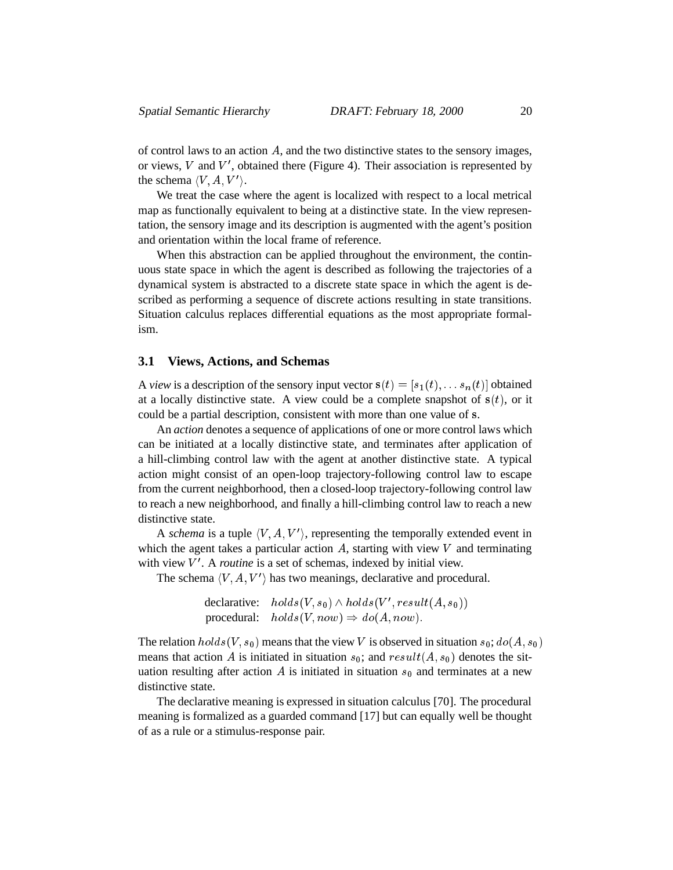of control laws to an action  $A$ , and the two distinctive states to the sensory images, or views,  $V$  and  $V'$ , obtained there (Figure 4). Their association is represented by the schema  $\langle V, A, V' \rangle$ .

We treat the case where the agent is localized with respect to a local metrical map as functionally equivalent to being at a distinctive state. In the view representation, the sensory image and its description is augmented with the agent's position and orientation within the local frame of reference.

When this abstraction can be applied throughout the environment, the continuous state space in which the agent is described as following the trajectories of a dynamical system is abstracted to a discrete state space in which the agent is described as performing a sequence of discrete actions resulting in state transitions. Situation calculus replaces differential equations as the most appropriate formalism.

### **3.1 Views, Actions, and Schemas**

A *view* is a description of the sensory input vector  $s(t) = [s_1(t), \ldots s_n(t)]$  obtained at a locally distinctive state. A view could be a complete snapshot of  $s(t)$ , or it could be a partial description, consistent with more than one value of <sup>s</sup>.

An *action* denotes a sequence of applications of one or more control laws which can be initiated at a locally distinctive state, and terminates after application of a hill-climbing control law with the agent at another distinctive state. A typical action might consist of an open-loop trajectory-following control law to escape from the current neighborhood, then a closed-loop trajectory-following control law to reach a new neighborhood, and finally a hill-climbing control law to reach a new distinctive state.

A *schema* is a tuple  $\langle V, A, V' \rangle$ , representing the temporally extended event in which the agent takes a particular action  $A$ , starting with view  $V$  and terminating with view  $V'$ . A *routine* is a set of schemas, indexed by initial view.

The schema  $\langle V, A, V' \rangle$  has two meanings, declarative and procedural.

```
declarative: holds(V, s_0) \wedge holds(V', result(A, s_0))procedural: holds(V, now) \Rightarrow do(A, now).
```
The relation  $holds(V, s_0)$  means that the view V is observed in situation  $s_0$ ;  $do(A, s_0)$ means that action A is initiated in situation  $s_0$ ; and  $result(A, s_0)$  denotes the situation resulting after action A is initiated in situation  $s_0$  and terminates at a new distinctive state.

The declarative meaning is expressed in situation calculus [70]. The procedural meaning is formalized as a guarded command [17] but can equally well be thought of as a rule or a stimulus-response pair.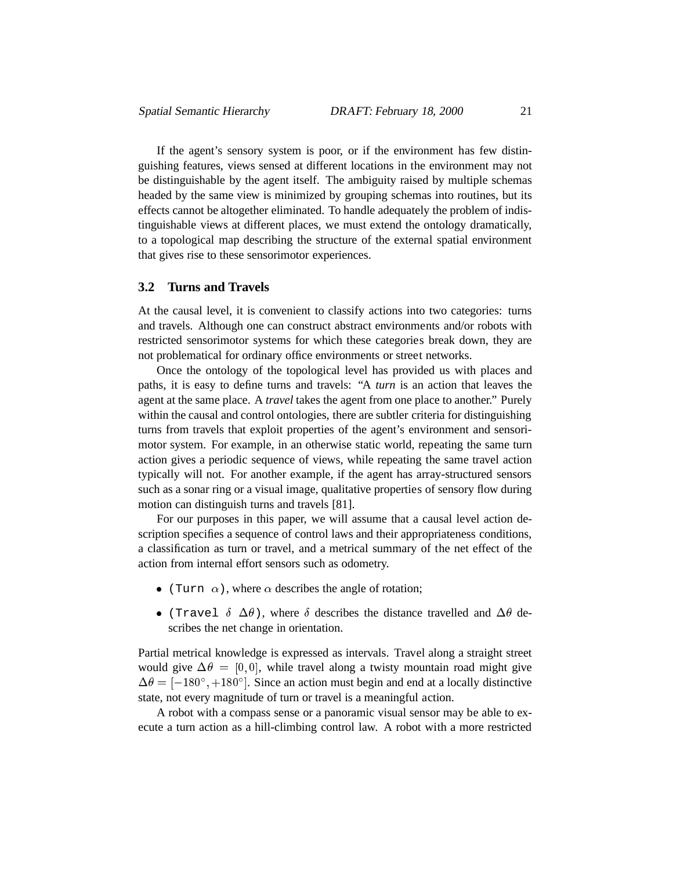If the agent's sensory system is poor, or if the environment has few distinguishing features, views sensed at different locations in the environment may not be distinguishable by the agent itself. The ambiguity raised by multiple schemas headed by the same view is minimized by grouping schemas into routines, but its effects cannot be altogether eliminated. To handle adequately the problem of indistinguishable views at different places, we must extend the ontology dramatically, to a topological map describing the structure of the external spatial environment that gives rise to these sensorimotor experiences.

#### **3.2 Turns and Travels**

At the causal level, it is convenient to classify actions into two categories: turns and travels. Although one can construct abstract environments and/or robots with restricted sensorimotor systems for which these categories break down, they are not problematical for ordinary office environments or street networks.

Once the ontology of the topological level has provided us with places and paths, it is easy to define turns and travels: "A *turn* is an action that leaves the agent at the same place. A *travel* takes the agent from one place to another." Purely within the causal and control ontologies, there are subtler criteria for distinguishing turns from travels that exploit properties of the agent's environment and sensorimotor system. For example, in an otherwise static world, repeating the same turn action gives a periodic sequence of views, while repeating the same travel action typically will not. For another example, if the agent has array-structured sensors such as a sonar ring or a visual image, qualitative properties of sensory flow during motion can distinguish turns and travels [81].

For our purposes in this paper, we will assume that a causal level action description specifies a sequence of control laws and their appropriateness conditions, a classification as turn or travel, and a metrical summary of the net effect of the action from internal effort sensors such as odometry.

- (Turn  $\alpha$ ), where  $\alpha$  describes the angle of rotation;
- (Travel  $\delta \Delta\theta$ ), where  $\delta$  describes the distance travelled and  $\Delta\theta$  describes the net change in orientation.

Partial metrical knowledge is expressed as intervals. Travel along a straight street would give  $\Delta \theta = [0, 0]$ , while travel along a twisty mountain road might give  $\Delta\theta = [-180^\circ, +180^\circ]$ . Since an action must begin and end at a locally distinctive state, not every magnitude of turn or travel is a meaningful action.

A robot with a compass sense or a panoramic visual sensor may be able to execute a turn action as a hill-climbing control law. A robot with a more restricted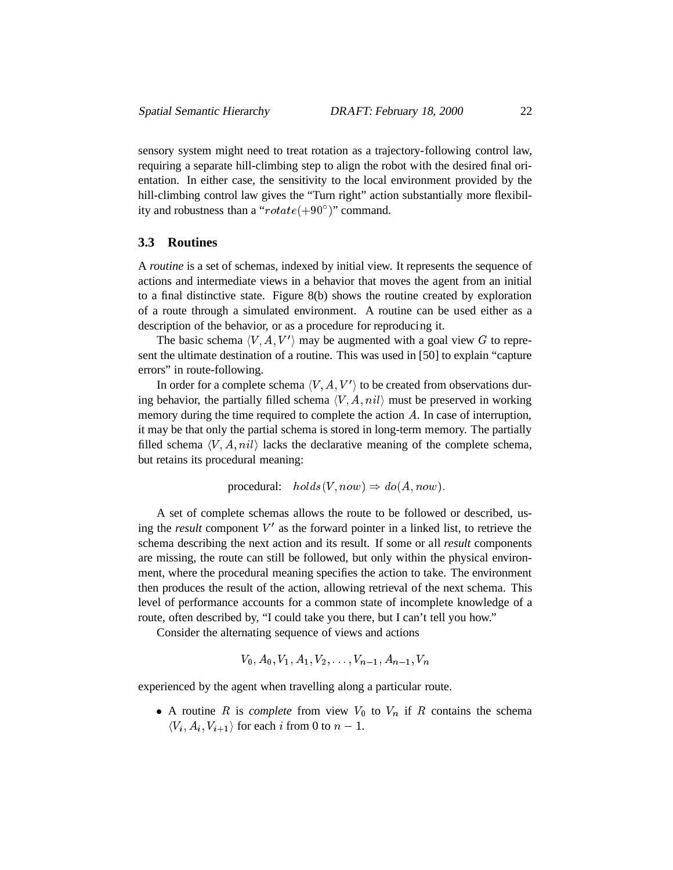sensory system might need to treat rotation as a trajectory-following control law, requiring a separate hill-climbing step to align the robot with the desired final orientation. In either case, the sensitivity to the local environment provided by the hill-climbing control law gives the "Turn right" action substantially more flexibility and robustness than a " $rotate(+90^{\circ})$ " command.

#### **3.3 Routines**

A *routine* is a set of schemas, indexed by initial view. It represents the sequence of actions and intermediate views in a behavior that moves the agent from an initial to a final distinctive state. Figure 8(b) shows the routine created by exploration of a route through a simulated environment. A routine can be used either as a description of the behavior, or as a procedure for reproducing it.

The basic schema  $\langle V, A, V' \rangle$  may be augmented with a goal view G to represent the ultimate destination of a routine. This was used in [50] to explain "capture errors" in route-following.

In order for a complete schema  $\langle V, A, V' \rangle$  to be created from observations during behavior, the partially filled schema  $\langle V, A, nil \rangle$  must be preserved in working memory during the time required to complete the action  $A$ . In case of interruption, it may be that only the partial schema is stored in long-term memory. The partially filled schema  $\langle V, A, nil \rangle$  lacks the declarative meaning of the complete schema, but retains its procedural meaning:

procedural:  $holds(V, now) \Rightarrow do(A, now)$ .

A set of complete schemas allows the route to be followed or described, using the *result* component  $V'$  as the forward pointer in a linked list, to retrieve the schema describing the next action and its result. If some or all *result* components are missing, the route can still be followed, but only within the physical environment, where the procedural meaning specifies the action to take. The environment then produces the result of the action, allowing retrieval of the next schema. This level of performance accounts for a common state of incomplete knowledge of a route, often described by, "I could take you there, but I can't tell you how."

Consider the alternating sequence of views and actions

$$
V_0, A_0, V_1, A_1, V_2, \ldots, V_{n-1}, A_{n-1}, V_n
$$

experienced by the agent when travelling along a particular route.

A routine R is *complete* from view  $V_0$  to  $V_n$  if R contains the schema  $\langle V_i, A_i, V_{i+1} \rangle$  for each i from 0 to  $n - 1$ .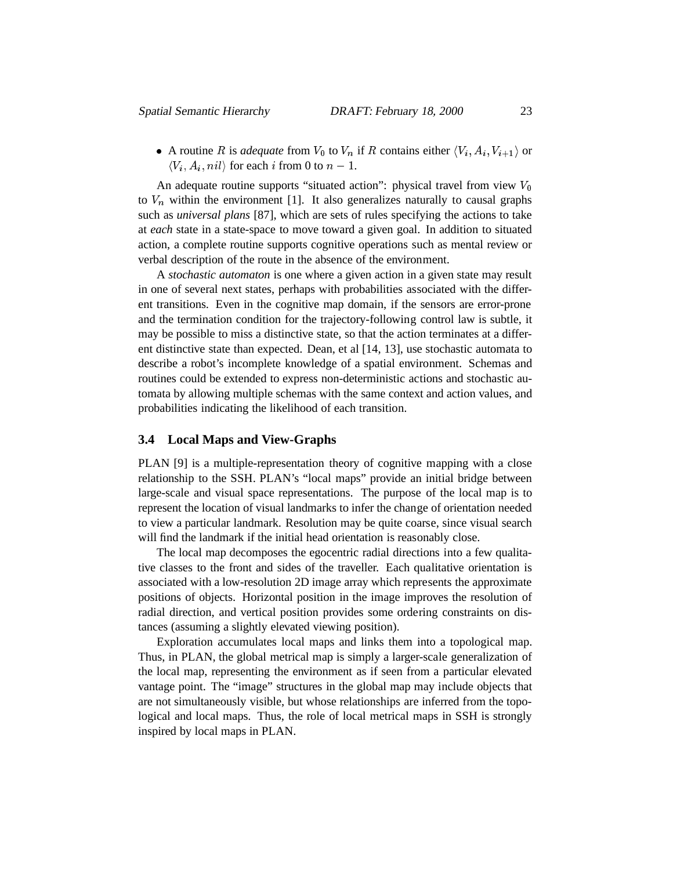A routine R is *adequate* from  $V_0$  to  $V_n$  if R contains either  $\langle V_i, A_i, V_{i+1} \rangle$  or  $\langle V_i, A_i, nil \rangle$  for each i from 0 to  $n - 1$ .

An adequate routine supports "situated action": physical travel from view  $V_0$ to  $V_n$  within the environment [1]. It also generalizes naturally to causal graphs such as *universal plans* [87], which are sets of rules specifying the actions to take at *each* state in a state-space to move toward a given goal. In addition to situated action, a complete routine supports cognitive operations such as mental review or verbal description of the route in the absence of the environment.

A *stochastic automaton* is one where a given action in a given state may result in one of several next states, perhaps with probabilities associated with the different transitions. Even in the cognitive map domain, if the sensors are error-prone and the termination condition for the trajectory-following control law is subtle, it may be possible to miss a distinctive state, so that the action terminates at a different distinctive state than expected. Dean, et al [14, 13], use stochastic automata to describe a robot's incomplete knowledge of a spatial environment. Schemas and routines could be extended to express non-deterministic actions and stochastic automata by allowing multiple schemas with the same context and action values, and probabilities indicating the likelihood of each transition.

#### **3.4 Local Maps and View-Graphs**

PLAN [9] is a multiple-representation theory of cognitive mapping with a close relationship to the SSH. PLAN's "local maps" provide an initial bridge between large-scale and visual space representations. The purpose of the local map is to represent the location of visual landmarks to infer the change of orientation needed to view a particular landmark. Resolution may be quite coarse, since visual search will find the landmark if the initial head orientation is reasonably close.

The local map decomposes the egocentric radial directions into a few qualitative classes to the front and sides of the traveller. Each qualitative orientation is associated with a low-resolution 2D image array which represents the approximate positions of objects. Horizontal position in the image improves the resolution of radial direction, and vertical position provides some ordering constraints on distances (assuming a slightly elevated viewing position).

Exploration accumulates local maps and links them into a topological map. Thus, in PLAN, the global metrical map is simply a larger-scale generalization of the local map, representing the environment as if seen from a particular elevated vantage point. The "image" structures in the global map may include objects that are not simultaneously visible, but whose relationships are inferred from the topological and local maps. Thus, the role of local metrical maps in SSH is strongly inspired by local maps in PLAN.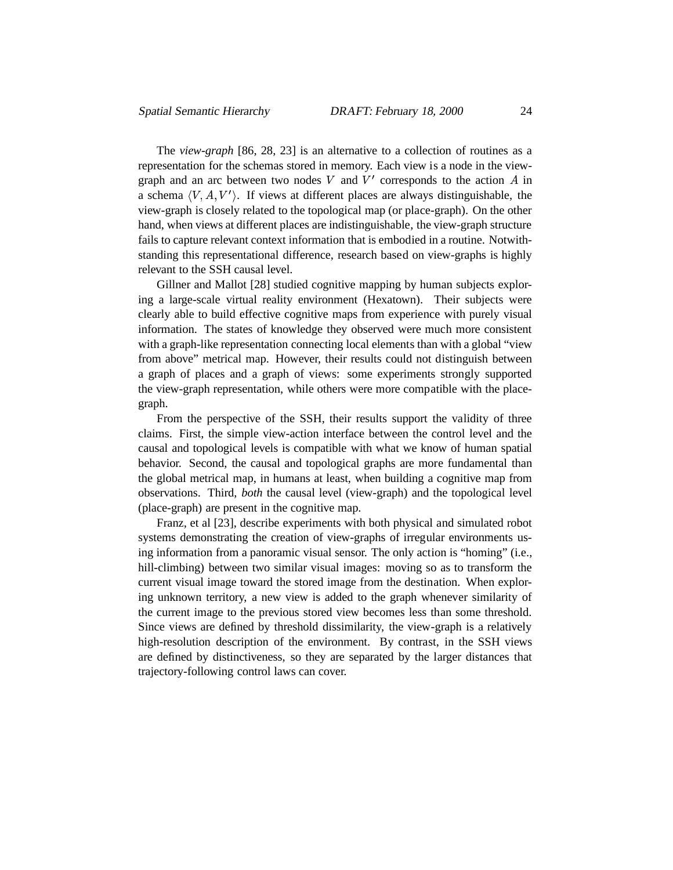The *view-graph* [86, 28, 23] is an alternative to a collection of routines as a representation for the schemas stored in memory. Each view is a node in the viewgraph and an arc between two nodes V and V' corresponds to the action A in a schema  $\langle V, A, V' \rangle$ . If views at different places are always distinguishable, the view-graph is closely related to the topological map (or place-graph). On the other hand, when views at different places are indistinguishable, the view-graph structure fails to capture relevant context information that is embodied in a routine. Notwithstanding this representational difference, research based on view-graphs is highly relevant to the SSH causal level.

Gillner and Mallot [28] studied cognitive mapping by human subjects exploring a large-scale virtual reality environment (Hexatown). Their subjects were clearly able to build effective cognitive maps from experience with purely visual information. The states of knowledge they observed were much more consistent with a graph-like representation connecting local elements than with a global "view from above" metrical map. However, their results could not distinguish between a graph of places and a graph of views: some experiments strongly supported the view-graph representation, while others were more compatible with the placegraph.

From the perspective of the SSH, their results support the validity of three claims. First, the simple view-action interface between the control level and the causal and topological levels is compatible with what we know of human spatial behavior. Second, the causal and topological graphs are more fundamental than the global metrical map, in humans at least, when building a cognitive map from observations. Third, *both* the causal level (view-graph) and the topological level (place-graph) are present in the cognitive map.

Franz, et al [23], describe experiments with both physical and simulated robot systems demonstrating the creation of view-graphs of irregular environments using information from a panoramic visual sensor. The only action is "homing" (i.e., hill-climbing) between two similar visual images: moving so as to transform the current visual image toward the stored image from the destination. When exploring unknown territory, a new view is added to the graph whenever similarity of the current image to the previous stored view becomes less than some threshold. Since views are defined by threshold dissimilarity, the view-graph is a relatively high-resolution description of the environment. By contrast, in the SSH views are defined by distinctiveness, so they are separated by the larger distances that trajectory-following control laws can cover.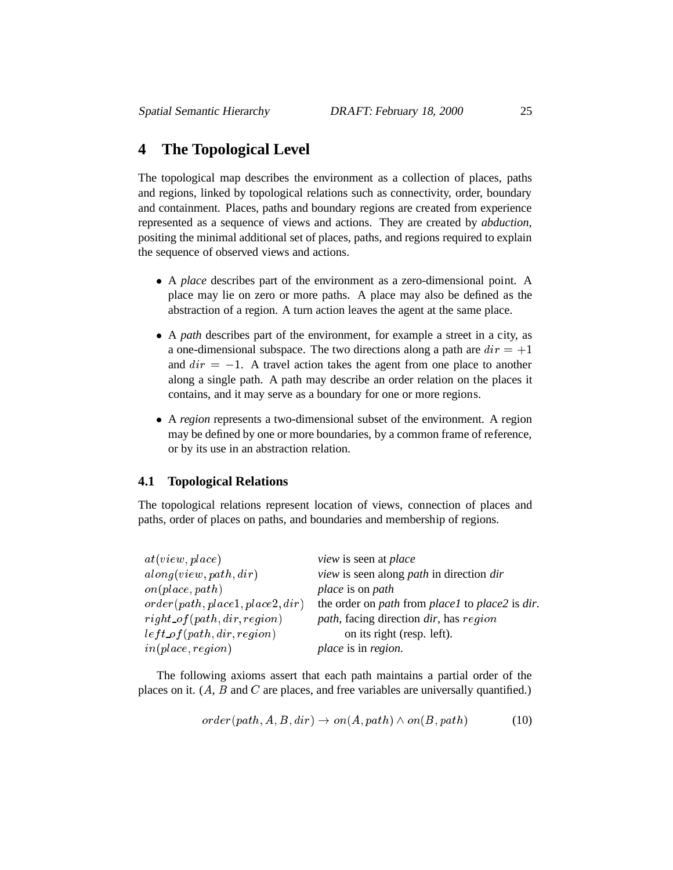## **4 The Topological Level**

The topological map describes the environment as a collection of places, paths and regions, linked by topological relations such as connectivity, order, boundary and containment. Places, paths and boundary regions are created from experience represented as a sequence of views and actions. They are created by *abduction*, positing the minimal additional set of places, paths, and regions required to explain the sequence of observed views and actions.

- A *place* describes part of the environment as a zero-dimensional point. A place may lie on zero or more paths. A place may also be defined as the abstraction of a region. A turn action leaves the agent at the same place.
- A *path* describes part of the environment, for example a street in a city, as a one-dimensional subspace. The two directions along a path are  $dir = +1$ and  $dir = -1$ . A travel action takes the agent from one place to another along a single path. A path may describe an order relation on the places it contains, and it may serve as a boundary for one or more regions.
- A *region* represents a two-dimensional subset of the environment. A region may be defined by one or more boundaries, by a common frame of reference, or by its use in an abstraction relation.

#### **4.1 Topological Relations**

The topological relations represent location of views, connection of places and paths, order of places on paths, and boundaries and membership of regions.

| view is seen at place                                                        |
|------------------------------------------------------------------------------|
| view is seen along path in direction dir                                     |
| place is on path                                                             |
| the order on <i>path</i> from <i>place1</i> to <i>place2</i> is <i>dir</i> . |
| path, facing direction dir, has region                                       |
| on its right (resp. left).                                                   |
| place is in region.                                                          |
|                                                                              |

The following axioms assert that each path maintains a partial order of the places on it.  $(A, B, A)$  and C are places, and free variables are universally quantified.)

$$
order(path, A, B, dir) \rightarrow on(A, path) \land on(B, path)
$$
 (10)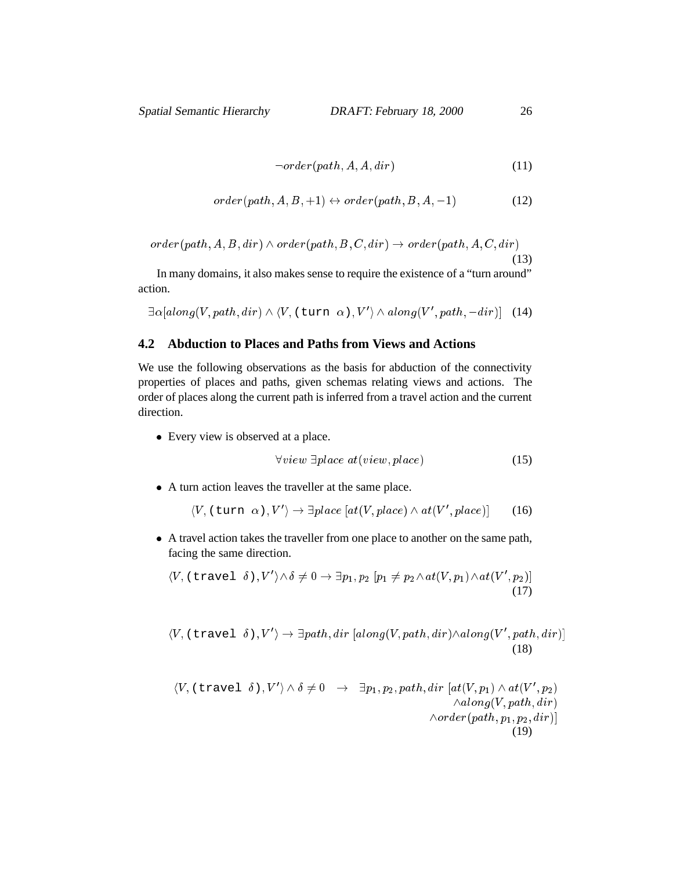$$
\neg order(path, A, A, dir) \tag{11}
$$

$$
order(path, A, B, +1) \leftrightarrow order(path, B, A, -1)
$$
\n(12)

 $order(path, A, B, dir) \wedge order(path, B, C, dir) \rightarrow order(path, A, C, dir)$ 

In many domains, it also makes sense to require the existence of a "turn around" action.

$$
\exists \alpha[along(V, path, dir) \land \langle V, (\text{turn } \alpha), V' \rangle \land along(V', path, -dir)] \quad (14)
$$

## **4.2 Abduction to Places and Paths from Views and Actions**

We use the following observations as the basis for abduction of the connectivity properties of places and paths, given schemas relating views and actions. The order of places along the current path is inferred from a travel action and the current direction.

Every view is observed at a place.

$$
\forall view \; \exists place \; at(view, place) \tag{15}
$$

 A turn action leaves the traveller at the same place.  $\mathbb{Z}^2$ 

$$
\langle V, \text{ (turn } \alpha), V' \rangle \rightarrow \exists place \ [at(V, place) \land at(V', place)] \qquad (16)
$$

 A travel action takes the traveller from one place to another on the same path, facing the same direction.

$$
\langle V, (\text{travel } \delta), V' \rangle \wedge \delta \neq 0 \to \exists p_1, p_2 \ [p_1 \neq p_2 \wedge at(V, p_1) \wedge at(V', p_2)] \tag{17}
$$

$$
\langle V, (\text{travel } \delta), V' \rangle \rightarrow \exists path, dir [along(V, path, dir) \land along(V', path, dir)]
$$
\n(18)

$$
\langle V, (\text{travel } \delta), V' \rangle \land \delta \neq 0 \rightarrow \exists p_1, p_2, path, dir [at(V, p_1) \land at(V', p_2) \land along(V, path, dir) \land along(V, path, dir) \land order(path, p_1, p_2, dir)]
$$
\n(19)

(13)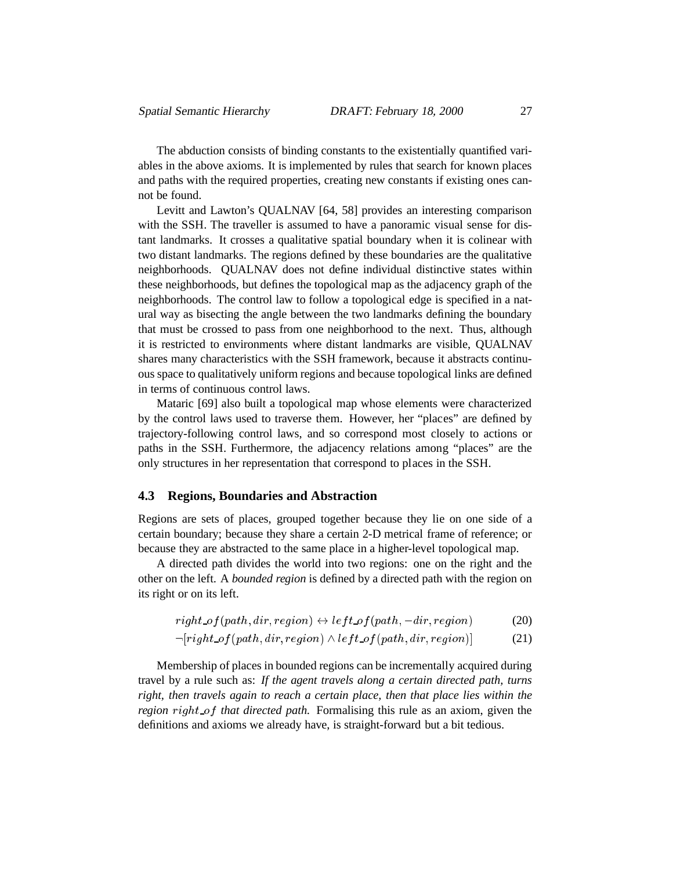The abduction consists of binding constants to the existentially quantified variables in the above axioms. It is implemented by rules that search for known places and paths with the required properties, creating new constants if existing ones cannot be found.

Levitt and Lawton's QUALNAV [64, 58] provides an interesting comparison with the SSH. The traveller is assumed to have a panoramic visual sense for distant landmarks. It crosses a qualitative spatial boundary when it is colinear with two distant landmarks. The regions defined by these boundaries are the qualitative neighborhoods. QUALNAV does not define individual distinctive states within these neighborhoods, but defines the topological map as the adjacency graph of the neighborhoods. The control law to follow a topological edge is specified in a natural way as bisecting the angle between the two landmarks defining the boundary that must be crossed to pass from one neighborhood to the next. Thus, although it is restricted to environments where distant landmarks are visible, QUALNAV shares many characteristics with the SSH framework, because it abstracts continuous space to qualitatively uniform regions and because topological links are defined in terms of continuous control laws.

Mataric [69] also built a topological map whose elements were characterized by the control laws used to traverse them. However, her "places" are defined by trajectory-following control laws, and so correspond most closely to actions or paths in the SSH. Furthermore, the adjacency relations among "places" are the only structures in her representation that correspond to places in the SSH.

#### **4.3 Regions, Boundaries and Abstraction**

Regions are sets of places, grouped together because they lie on one side of a certain boundary; because they share a certain 2-D metrical frame of reference; or because they are abstracted to the same place in a higher-level topological map.

A directed path divides the world into two regions: one on the right and the other on the left. A *bounded region* is defined by a directed path with the region on its right or on its left.

$$
right\_of(path, dir, region) \leftrightarrow left\_of(path, -dir, region)
$$
 (20)

$$
\neg[right\_of(path, dir, region) \land left\_of(path, dir, region)] \tag{21}
$$

Membership of places in bounded regions can be incrementally acquired during travel by a rule such as: *If the agent travels along a certain directed path, turns right, then travels again to reach a certain place, then that place lies within the* region right\_of that directed path. Formalising this rule as an axiom, given the definitions and axioms we already have, is straight-forward but a bit tedious.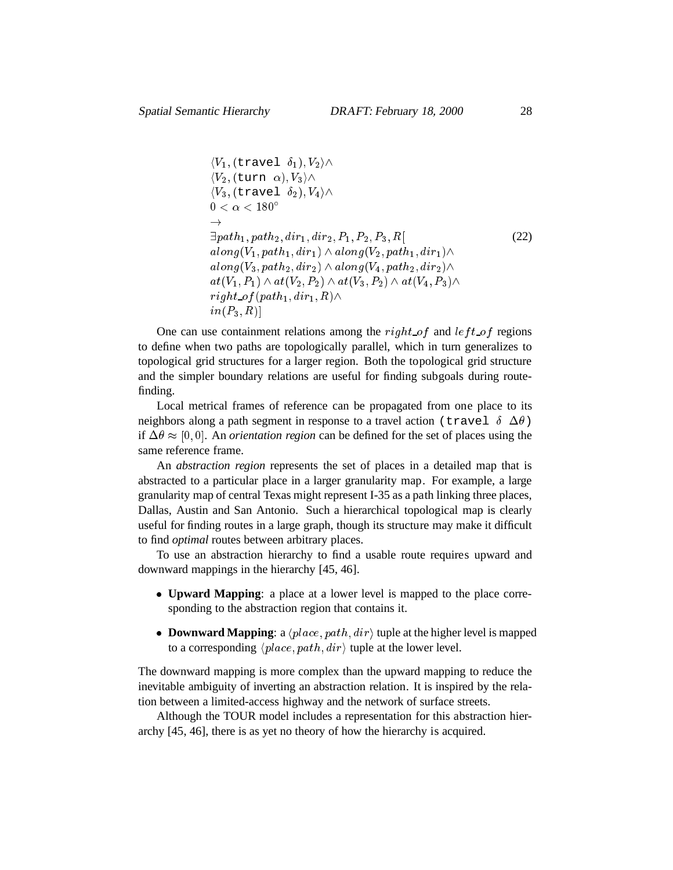$$
\langle V_1, (\text{travel } \delta_1), V_2 \rangle \land \langle V_2, (\text{turn } \alpha), V_3 \rangle \land \langle V_3, (\text{travel } \delta_2), V_4 \rangle \land \n0 < \alpha < 180^\circ
$$
  
\n
$$
\rightarrow
$$
  
\n
$$
\exists path_1, path_2, dir_1, dir_2, P_1, P_2, P_3, R[\n along(V_1, path_1, dir_1) \land along(V_2, path_1, dir_1) \land \nalong(V_3, path_2, dir_2) \land along(V_4, path_2, dir_2) \land \nat(V_1, P_1) \land at(V_2, P_2) \land at(V_3, P_2) \land at(V_4, P_3) \land \nright\_of(path_1, dir_1, R) \land \nin(P_3, R)]
$$
\n(12)

One can use containment relations among the  $right_of$  and  $left_of$  regions to define when two paths are topologically parallel, which in turn generalizes to topological grid structures for a larger region. Both the topological grid structure and the simpler boundary relations are useful for finding subgoals during routefinding.

Local metrical frames of reference can be propagated from one place to its neighbors along a path segment in response to a travel action (travel  $\delta \Delta \theta$ ) if  $\Delta \theta \approx [0, 0]$ . An *orientation region* can be defined for the set of places using the same reference frame.

An *abstraction region* represents the set of places in a detailed map that is abstracted to a particular place in a larger granularity map. For example, a large granularity map of central Texas might represent I-35 as a path linking three places, Dallas, Austin and San Antonio. Such a hierarchical topological map is clearly useful for finding routes in a large graph, though its structure may make it difficult to find *optimal* routes between arbitrary places.

To use an abstraction hierarchy to find a usable route requires upward and downward mappings in the hierarchy [45, 46].

- **Upward Mapping**: a place at a lower level is mapped to the place corresponding to the abstraction region that contains it.
- **Downward Mapping**: a  $\langle place, path, dir \rangle$  tuple at the higher level is mapped to a corresponding  $\langle place, path, dir \rangle$  tuple at the lower level.

The downward mapping is more complex than the upward mapping to reduce the inevitable ambiguity of inverting an abstraction relation. It is inspired by the relation between a limited-access highway and the network of surface streets.

Although the TOUR model includes a representation for this abstraction hierarchy [45, 46], there is as yet no theory of how the hierarchy is acquired.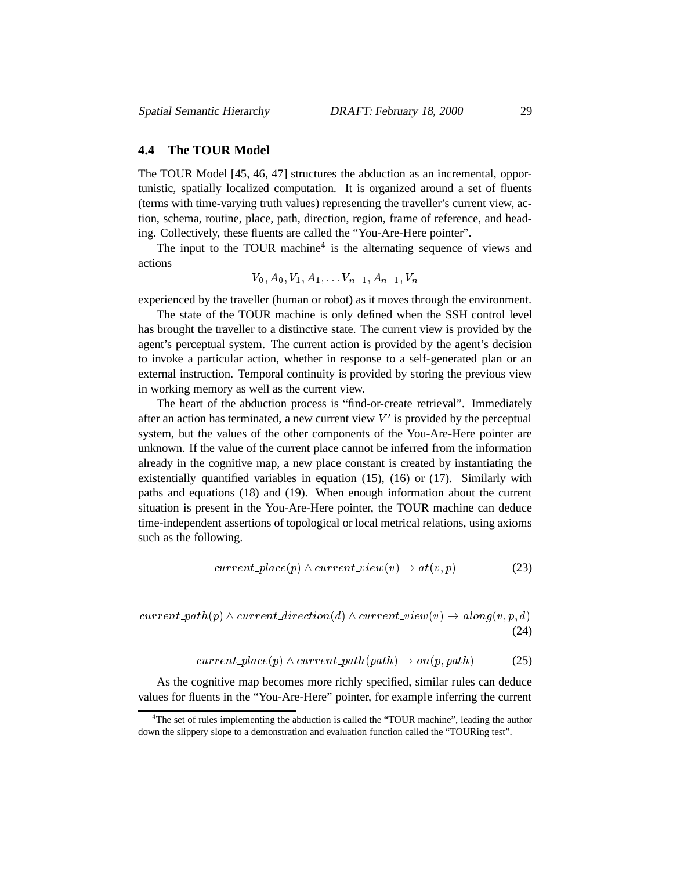## **4.4 The TOUR Model**

The TOUR Model [45, 46, 47] structures the abduction as an incremental, opportunistic, spatially localized computation. It is organized around a set of fluents (terms with time-varying truth values) representing the traveller's current view, action, schema, routine, place, path, direction, region, frame of reference, and heading. Collectively, these fluents are called the "You-Are-Here pointer".

The input to the TOUR machine<sup>4</sup> is the alternating sequence of views and actions

$$
V_0, A_0, V_1, A_1, \ldots V_{n-1}, A_{n-1}, V_n
$$

experienced by the traveller (human or robot) as it moves through the environment.

The state of the TOUR machine is only defined when the SSH control level has brought the traveller to a distinctive state. The current view is provided by the agent's perceptual system. The current action is provided by the agent's decision to invoke a particular action, whether in response to a self-generated plan or an external instruction. Temporal continuity is provided by storing the previous view in working memory as well as the current view.

The heart of the abduction process is "find-or-create retrieval". Immediately after an action has terminated, a new current view  $V'$  is provided by the perceptual system, but the values of the other components of the You-Are-Here pointer are unknown. If the value of the current place cannot be inferred from the information already in the cognitive map, a new place constant is created by instantiating the existentially quantified variables in equation (15), (16) or (17). Similarly with paths and equations (18) and (19). When enough information about the current situation is present in the You-Are-Here pointer, the TOUR machine can deduce time-independent assertions of topological or local metrical relations, using axioms such as the following.

$$
current\_place(p) \land current\_view(v) \rightarrow at(v, p) \tag{23}
$$

current  $path(p) \wedge current\_direction(d) \wedge current\_view(v) \rightarrow along(v, p, d)$ (24)

$$
current\_place(p) \land current\_path(path) \rightarrow on(p, path)
$$
 (25)

As the cognitive map becomes more richly specified, similar rules can deduce values for fluents in the "You-Are-Here" pointer, for example inferring the current

<sup>&</sup>lt;sup>4</sup>The set of rules implementing the abduction is called the "TOUR machine", leading the author down the slippery slope to a demonstration and evaluation function called the "TOURing test".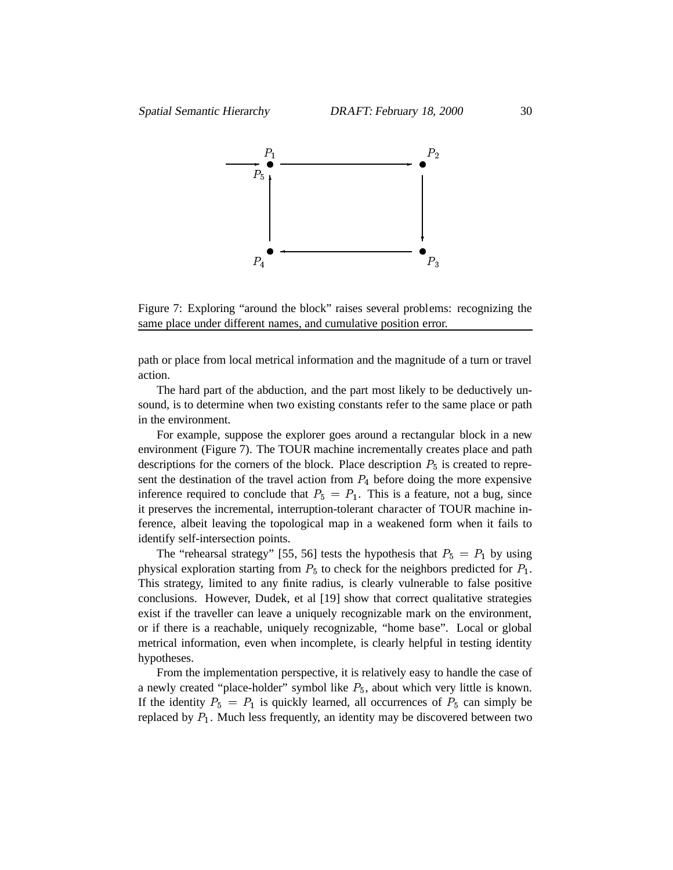

Figure 7: Exploring "around the block" raises several problems: recognizing the same place under different names, and cumulative position error.

path or place from local metrical information and the magnitude of a turn or travel action.

The hard part of the abduction, and the part most likely to be deductively unsound, is to determine when two existing constants refer to the same place or path in the environment.

For example, suppose the explorer goes around a rectangular block in a new environment (Figure 7). The TOUR machine incrementally creates place and path descriptions for the corners of the block. Place description  $P_5$  is created to represent the destination of the travel action from  $P_4$  before doing the more expensive inference required to conclude that  $P_5 = P_1$ . This is a feature, not a bug, since it preserves the incremental, interruption-tolerant character of TOUR machine inference, albeit leaving the topological map in a weakened form when it fails to identify self-intersection points.

The "rehearsal strategy" [55, 56] tests the hypothesis that  $P_5 = P_1$  by using physical exploration starting from  $P_5$  to check for the neighbors predicted for  $P_1$ . This strategy, limited to any finite radius, is clearly vulnerable to false positive conclusions. However, Dudek, et al [19] show that correct qualitative strategies exist if the traveller can leave a uniquely recognizable mark on the environment, or if there is a reachable, uniquely recognizable, "home base". Local or global metrical information, even when incomplete, is clearly helpful in testing identity hypotheses.

From the implementation perspective, it is relatively easy to handle the case of a newly created "place-holder" symbol like  $P_5$ , about which very little is known. If the identity  $P_5 = P_1$  is quickly learned, all occurrences of  $P_5$  can simply be replaced by  $P_1$ . Much less frequently, an identity may be discovered between two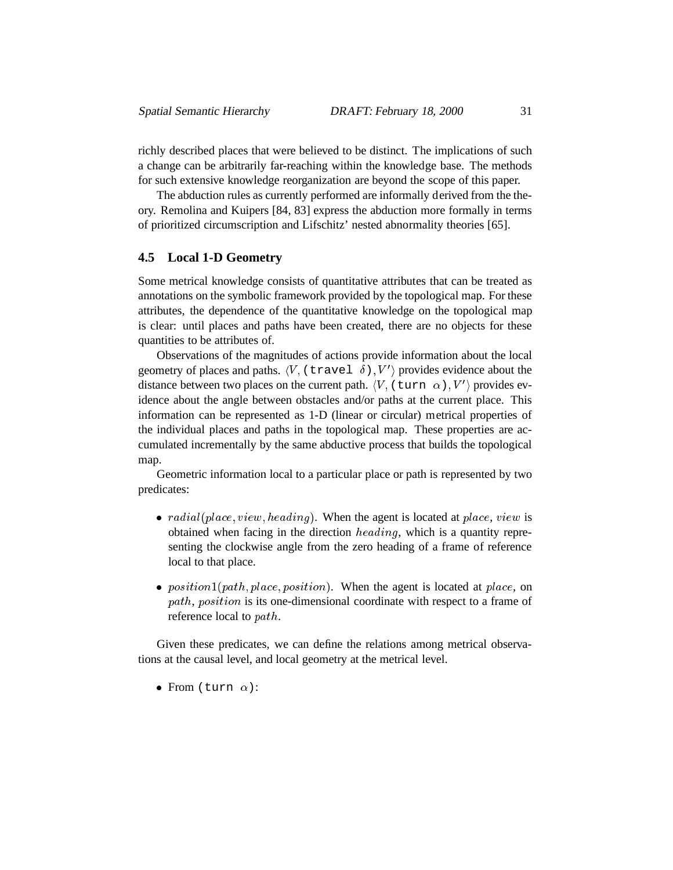richly described places that were believed to be distinct. The implications of such a change can be arbitrarily far-reaching within the knowledge base. The methods for such extensive knowledge reorganization are beyond the scope of this paper.

The abduction rules as currently performed are informally derived from the theory. Remolina and Kuipers [84, 83] express the abduction more formally in terms of prioritized circumscription and Lifschitz' nested abnormality theories [65].

#### **4.5 Local 1-D Geometry**

Some metrical knowledge consists of quantitative attributes that can be treated as annotations on the symbolic framework provided by the topological map. For these attributes, the dependence of the quantitative knowledge on the topological map is clear: until places and paths have been created, there are no objects for these quantities to be attributes of.

Observations of the magnitudes of actions provide information about the local geometry of places and paths.  $\langle V,$  (travel  $\delta$ ),  $V' \rangle$  provides evidence about the distance between two places on the current path.  $\langle V, (\text{turn } \alpha), V' \rangle$  provides evidence about the angle between obstacles and/or paths at the current place. This information can be represented as 1-D (linear or circular) metrical properties of the individual places and paths in the topological map. These properties are accumulated incrementally by the same abductive process that builds the topological map.

Geometric information local to a particular place or path is represented by two predicates:

- $radial(place, view, heading)$ . When the agent is located at place, view is obtained when facing in the direction heading, which is a quantity representing the clockwise angle from the zero heading of a frame of reference local to that place.
- position1(path, place, position). When the agent is located at place, on path, position is its one-dimensional coordinate with respect to a frame of reference local to path.

Given these predicates, we can define the relations among metrical observations at the causal level, and local geometry at the metrical level.

• From (turn  $\alpha$ ):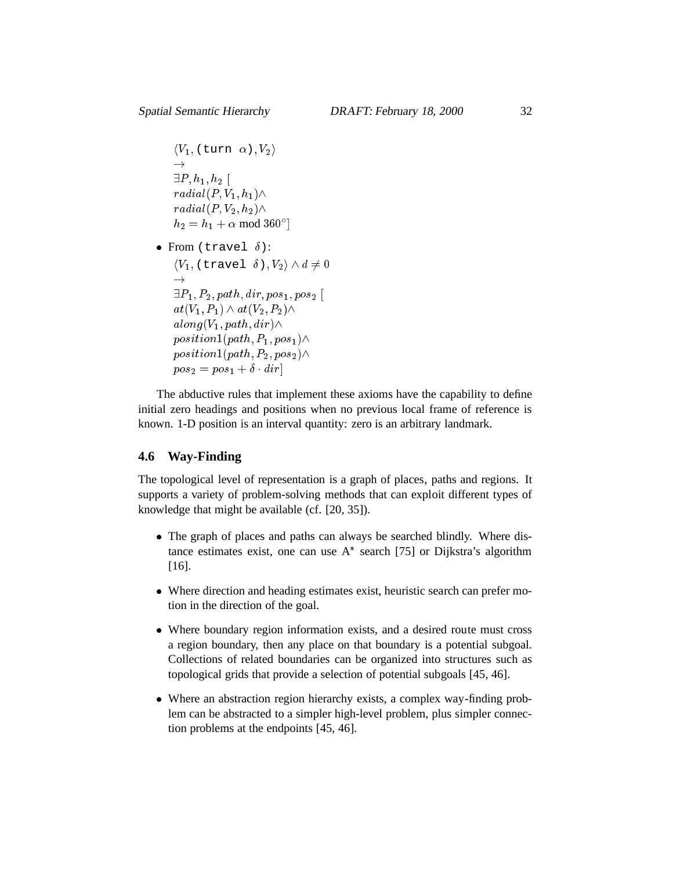```
\langle V_1, (turn \alpha), V_2 \rangle\rightarrow\exists P, h_1, h_2radial(P, V_1, h_1) \wedgeradial(P, V_2, h_2) \wedgeh_2=h_1+\alpha mod 360^\circ]• From (travel \delta):
```

```
\langle V_1, (travel \delta), V_2 \rangle \wedge d \neq 0\rightarrow\exists P_1, P_2, path, dir, pos_1, pos_2 [
at(V_1, P_1) \wedge at(V_2, P_2) \wedgealong(V_1, path, dir) \wedgeposition1(path, P_1, pos_1) \wedgeposition1(path, P_2, pos_2) \wedgepos_2 = pos_1 + \delta \cdot dir
```
The abductive rules that implement these axioms have the capability to define initial zero headings and positions when no previous local frame of reference is known. 1-D position is an interval quantity: zero is an arbitrary landmark.

## **4.6 Way-Finding**

The topological level of representation is a graph of places, paths and regions. It supports a variety of problem-solving methods that can exploit different types of knowledge that might be available (cf. [20, 35]).

- The graph of places and paths can always be searched blindly. Where distance estimates exist, one can use A search [75] or Dijkstra's algorithm [16].
- Where direction and heading estimates exist, heuristic search can prefer motion in the direction of the goal.
- Where boundary region information exists, and a desired route must cross a region boundary, then any place on that boundary is a potential subgoal. Collections of related boundaries can be organized into structures such as topological grids that provide a selection of potential subgoals [45, 46].
- Where an abstraction region hierarchy exists, a complex way-finding problem can be abstracted to a simpler high-level problem, plus simpler connection problems at the endpoints [45, 46].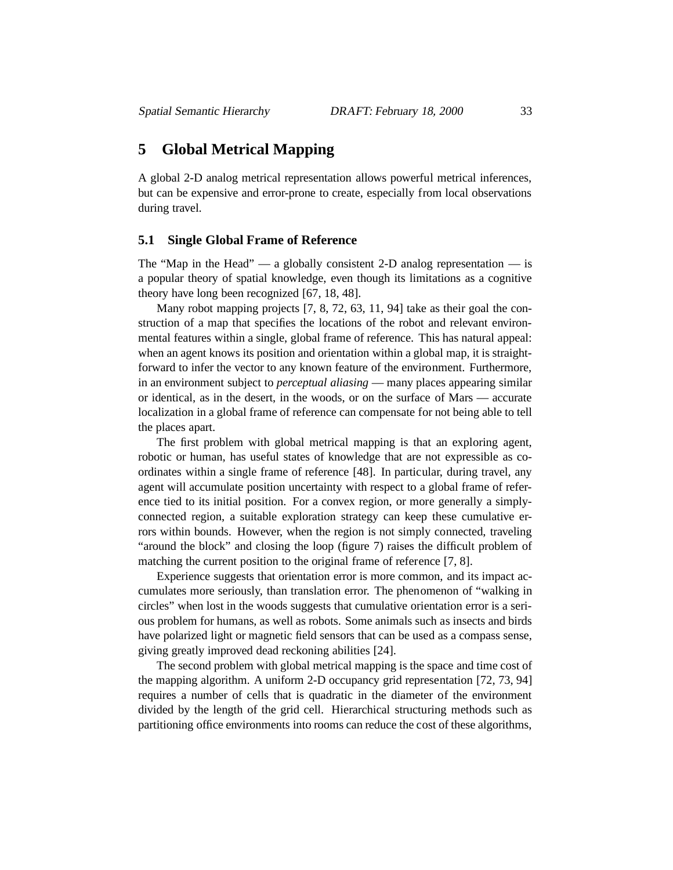## **5 Global Metrical Mapping**

A global 2-D analog metrical representation allows powerful metrical inferences, but can be expensive and error-prone to create, especially from local observations during travel.

## **5.1 Single Global Frame of Reference**

The "Map in the Head" — a globally consistent 2-D analog representation — is a popular theory of spatial knowledge, even though its limitations as a cognitive theory have long been recognized [67, 18, 48].

Many robot mapping projects [7, 8, 72, 63, 11, 94] take as their goal the construction of a map that specifies the locations of the robot and relevant environmental features within a single, global frame of reference. This has natural appeal: when an agent knows its position and orientation within a global map, it is straightforward to infer the vector to any known feature of the environment. Furthermore, in an environment subject to *perceptual aliasing* — many places appearing similar or identical, as in the desert, in the woods, or on the surface of Mars — accurate localization in a global frame of reference can compensate for not being able to tell the places apart.

The first problem with global metrical mapping is that an exploring agent, robotic or human, has useful states of knowledge that are not expressible as coordinates within a single frame of reference [48]. In particular, during travel, any agent will accumulate position uncertainty with respect to a global frame of reference tied to its initial position. For a convex region, or more generally a simplyconnected region, a suitable exploration strategy can keep these cumulative errors within bounds. However, when the region is not simply connected, traveling "around the block" and closing the loop (figure 7) raises the difficult problem of matching the current position to the original frame of reference [7, 8].

Experience suggests that orientation error is more common, and its impact accumulates more seriously, than translation error. The phenomenon of "walking in circles" when lost in the woods suggests that cumulative orientation error is a serious problem for humans, as well as robots. Some animals such as insects and birds have polarized light or magnetic field sensors that can be used as a compass sense, giving greatly improved dead reckoning abilities [24].

The second problem with global metrical mapping is the space and time cost of the mapping algorithm. A uniform 2-D occupancy grid representation [72, 73, 94] requires a number of cells that is quadratic in the diameter of the environment divided by the length of the grid cell. Hierarchical structuring methods such as partitioning office environments into rooms can reduce the cost of these algorithms,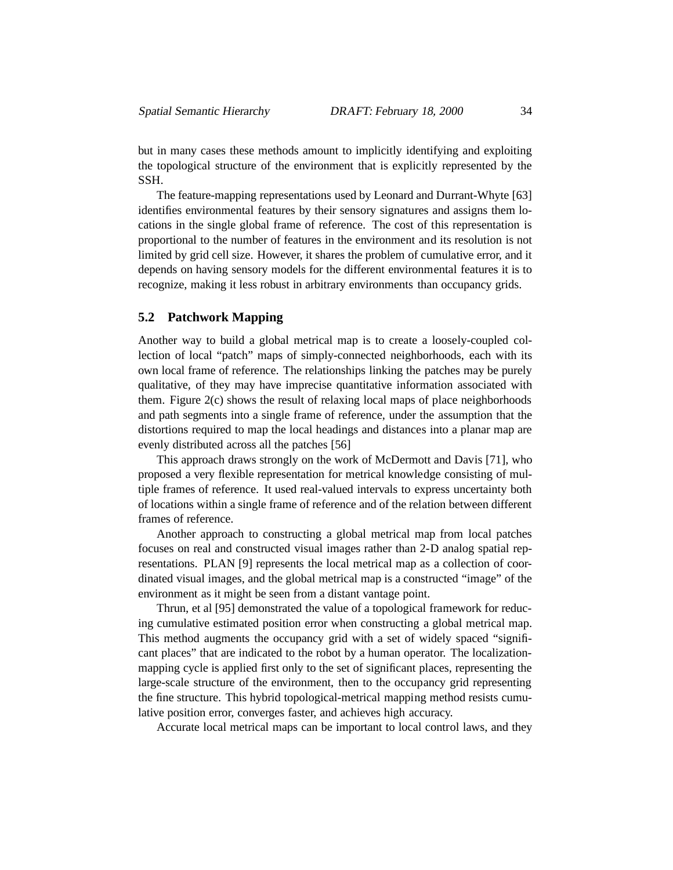but in many cases these methods amount to implicitly identifying and exploiting the topological structure of the environment that is explicitly represented by the SSH.

The feature-mapping representations used by Leonard and Durrant-Whyte [63] identifies environmental features by their sensory signatures and assigns them locations in the single global frame of reference. The cost of this representation is proportional to the number of features in the environment and its resolution is not limited by grid cell size. However, it shares the problem of cumulative error, and it depends on having sensory models for the different environmental features it is to recognize, making it less robust in arbitrary environments than occupancy grids.

## **5.2 Patchwork Mapping**

Another way to build a global metrical map is to create a loosely-coupled collection of local "patch" maps of simply-connected neighborhoods, each with its own local frame of reference. The relationships linking the patches may be purely qualitative, of they may have imprecise quantitative information associated with them. Figure 2(c) shows the result of relaxing local maps of place neighborhoods and path segments into a single frame of reference, under the assumption that the distortions required to map the local headings and distances into a planar map are evenly distributed across all the patches [56]

This approach draws strongly on the work of McDermott and Davis [71], who proposed a very flexible representation for metrical knowledge consisting of multiple frames of reference. It used real-valued intervals to express uncertainty both of locations within a single frame of reference and of the relation between different frames of reference.

Another approach to constructing a global metrical map from local patches focuses on real and constructed visual images rather than 2-D analog spatial representations. PLAN [9] represents the local metrical map as a collection of coordinated visual images, and the global metrical map is a constructed "image" of the environment as it might be seen from a distant vantage point.

Thrun, et al [95] demonstrated the value of a topological framework for reducing cumulative estimated position error when constructing a global metrical map. This method augments the occupancy grid with a set of widely spaced "significant places" that are indicated to the robot by a human operator. The localizationmapping cycle is applied first only to the set of significant places, representing the large-scale structure of the environment, then to the occupancy grid representing the fine structure. This hybrid topological-metrical mapping method resists cumulative position error, converges faster, and achieves high accuracy.

Accurate local metrical maps can be important to local control laws, and they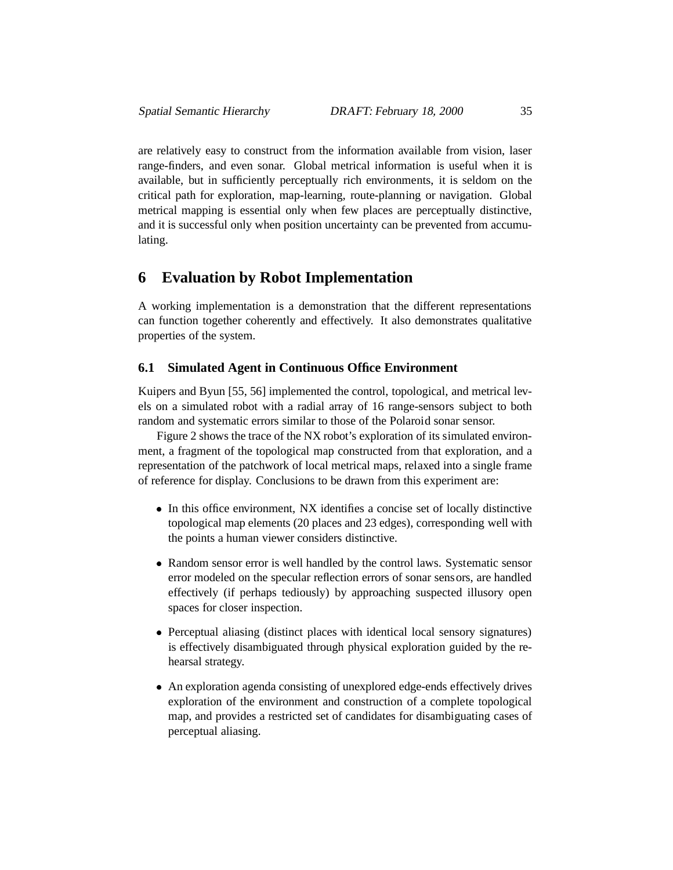are relatively easy to construct from the information available from vision, laser range-finders, and even sonar. Global metrical information is useful when it is available, but in sufficiently perceptually rich environments, it is seldom on the critical path for exploration, map-learning, route-planning or navigation. Global metrical mapping is essential only when few places are perceptually distinctive, and it is successful only when position uncertainty can be prevented from accumulating.

## **6 Evaluation by Robot Implementation**

A working implementation is a demonstration that the different representations can function together coherently and effectively. It also demonstrates qualitative properties of the system.

#### **6.1 Simulated Agent in Continuous Office Environment**

Kuipers and Byun [55, 56] implemented the control, topological, and metrical levels on a simulated robot with a radial array of 16 range-sensors subject to both random and systematic errors similar to those of the Polaroid sonar sensor.

Figure 2 shows the trace of the NX robot's exploration of its simulated environment, a fragment of the topological map constructed from that exploration, and a representation of the patchwork of local metrical maps, relaxed into a single frame of reference for display. Conclusions to be drawn from this experiment are:

- In this office environment, NX identifies a concise set of locally distinctive topological map elements (20 places and 23 edges), corresponding well with the points a human viewer considers distinctive.
- Random sensor error is well handled by the control laws. Systematic sensor error modeled on the specular reflection errors of sonar sensors, are handled effectively (if perhaps tediously) by approaching suspected illusory open spaces for closer inspection.
- Perceptual aliasing (distinct places with identical local sensory signatures) is effectively disambiguated through physical exploration guided by the rehearsal strategy.
- An exploration agenda consisting of unexplored edge-ends effectively drives exploration of the environment and construction of a complete topological map, and provides a restricted set of candidates for disambiguating cases of perceptual aliasing.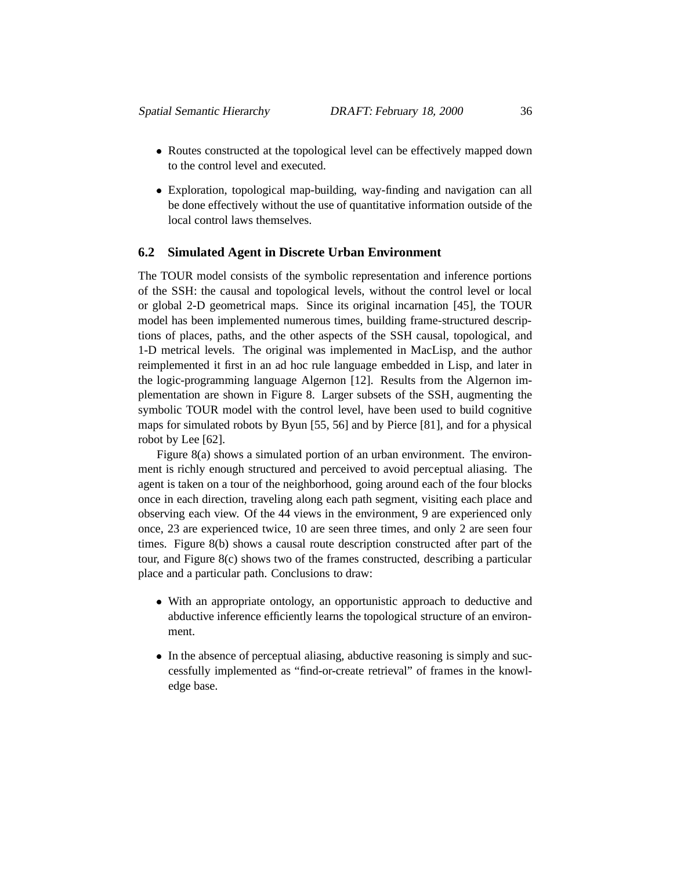- Routes constructed at the topological level can be effectively mapped down to the control level and executed.
- Exploration, topological map-building, way-finding and navigation can all be done effectively without the use of quantitative information outside of the local control laws themselves.

## **6.2 Simulated Agent in Discrete Urban Environment**

The TOUR model consists of the symbolic representation and inference portions of the SSH: the causal and topological levels, without the control level or local or global 2-D geometrical maps. Since its original incarnation [45], the TOUR model has been implemented numerous times, building frame-structured descriptions of places, paths, and the other aspects of the SSH causal, topological, and 1-D metrical levels. The original was implemented in MacLisp, and the author reimplemented it first in an ad hoc rule language embedded in Lisp, and later in the logic-programming language Algernon [12]. Results from the Algernon implementation are shown in Figure 8. Larger subsets of the SSH, augmenting the symbolic TOUR model with the control level, have been used to build cognitive maps for simulated robots by Byun [55, 56] and by Pierce [81], and for a physical robot by Lee [62].

Figure 8(a) shows a simulated portion of an urban environment. The environment is richly enough structured and perceived to avoid perceptual aliasing. The agent is taken on a tour of the neighborhood, going around each of the four blocks once in each direction, traveling along each path segment, visiting each place and observing each view. Of the 44 views in the environment, 9 are experienced only once, 23 are experienced twice, 10 are seen three times, and only 2 are seen four times. Figure 8(b) shows a causal route description constructed after part of the tour, and Figure 8(c) shows two of the frames constructed, describing a particular place and a particular path. Conclusions to draw:

- With an appropriate ontology, an opportunistic approach to deductive and abductive inference efficiently learns the topological structure of an environment.
- In the absence of perceptual aliasing, abductive reasoning is simply and successfully implemented as "find-or-create retrieval" of frames in the knowledge base.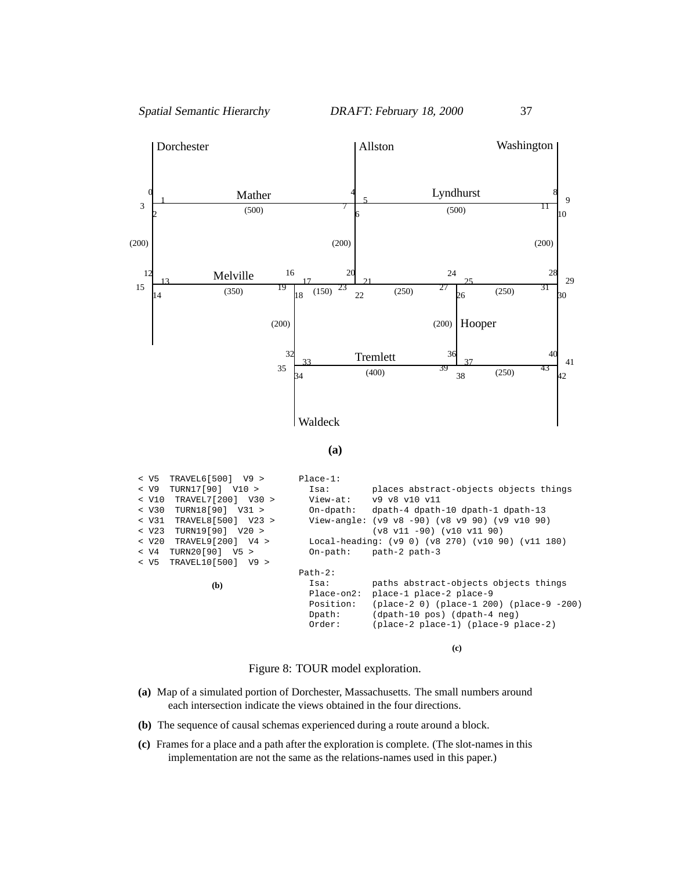3

12

15



```
< V9 TURN17[90] V10 >
      < V10 TRAVEL7[200] V30 >
< V30 TURN18[90] V31 >
< V31 TRAVEL8[500] V23 >
      < V23 TURN19[90] V20 >
< V20 TRAVEL9[200] V4 >
     TURN20[90] V5 >
< V5 TRAVEL10[500] V9 >
              (b)
                                 Isa: places abstract-objects objects things
                                             v9 v8 v10 v11
                                 On-dpath: dpath-4 dpath-10 dpath-1 dpath-13
                                 View-angle: (v9 v8 -90) (v8 v9 90) (v9 v10 90)
                                             (v8 v11 -90) (v10 v11 90)
                                 Local-heading: (v9 0) (v8 270) (v10 90) (v11 180)<br>On-path: path-2 path-3
                                             path-2 path-3
                               Path-2:
                                 Isa: paths abstract-objects objects things
                                 Place-on2: place-1 place-2 place-9
                                             -<br>(place-2 0) (place-1 200) (place-9 -200)
                                 Dpath: (dpath-10 pos) (dpath-4 neg)
                                 Order: (place-2 place-1) (place-9 place-2)
```
**(c)**

Figure 8: TOUR model exploration.

- **(a)** Map of a simulated portion of Dorchester, Massachusetts. The small numbers around each intersection indicate the views obtained in the four directions.
- **(b)** The sequence of causal schemas experienced during a route around a block.
- **(c)** Frames for a place and a path after the exploration is complete. (The slot-names in this implementation are not the same as the relations-names used in this paper.)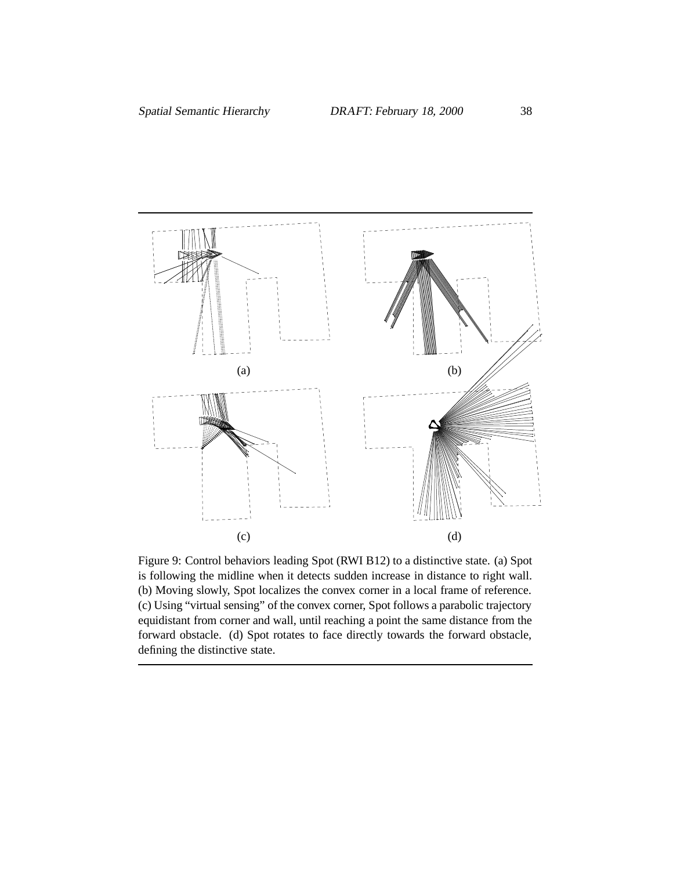

Figure 9: Control behaviors leading Spot (RWI B12) to a distinctive state. (a) Spot is following the midline when it detects sudden increase in distance to right wall. (b) Moving slowly, Spot localizes the convex corner in a local frame of reference. (c) Using "virtual sensing" of the convex corner, Spot follows a parabolic trajectory equidistant from corner and wall, until reaching a point the same distance from the forward obstacle. (d) Spot rotates to face directly towards the forward obstacle, defining the distinctive state.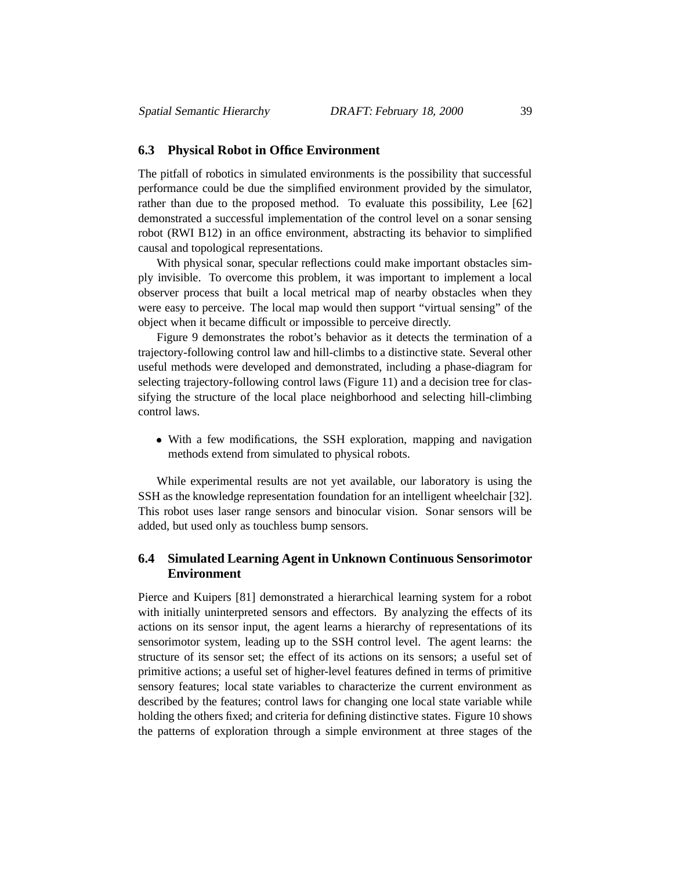## **6.3 Physical Robot in Office Environment**

The pitfall of robotics in simulated environments is the possibility that successful performance could be due the simplified environment provided by the simulator, rather than due to the proposed method. To evaluate this possibility, Lee [62] demonstrated a successful implementation of the control level on a sonar sensing robot (RWI B12) in an office environment, abstracting its behavior to simplified causal and topological representations.

With physical sonar, specular reflections could make important obstacles simply invisible. To overcome this problem, it was important to implement a local observer process that built a local metrical map of nearby obstacles when they were easy to perceive. The local map would then support "virtual sensing" of the object when it became difficult or impossible to perceive directly.

Figure 9 demonstrates the robot's behavior as it detects the termination of a trajectory-following control law and hill-climbs to a distinctive state. Several other useful methods were developed and demonstrated, including a phase-diagram for selecting trajectory-following control laws (Figure 11) and a decision tree for classifying the structure of the local place neighborhood and selecting hill-climbing control laws.

 With a few modifications, the SSH exploration, mapping and navigation methods extend from simulated to physical robots.

While experimental results are not yet available, our laboratory is using the SSH as the knowledge representation foundation for an intelligent wheelchair [32]. This robot uses laser range sensors and binocular vision. Sonar sensors will be added, but used only as touchless bump sensors.

## **6.4 Simulated Learning Agent in Unknown Continuous Sensorimotor Environment**

Pierce and Kuipers [81] demonstrated a hierarchical learning system for a robot with initially uninterpreted sensors and effectors. By analyzing the effects of its actions on its sensor input, the agent learns a hierarchy of representations of its sensorimotor system, leading up to the SSH control level. The agent learns: the structure of its sensor set; the effect of its actions on its sensors; a useful set of primitive actions; a useful set of higher-level features defined in terms of primitive sensory features; local state variables to characterize the current environment as described by the features; control laws for changing one local state variable while holding the others fixed; and criteria for defining distinctive states. Figure 10 shows the patterns of exploration through a simple environment at three stages of the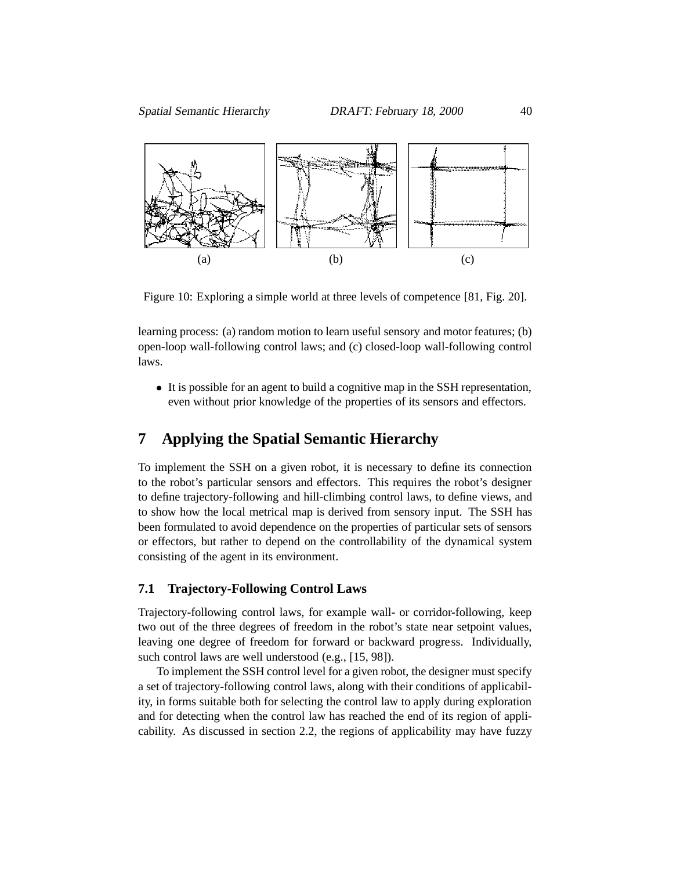

Figure 10: Exploring a simple world at three levels of competence [81, Fig. 20].

learning process: (a) random motion to learn useful sensory and motor features; (b) open-loop wall-following control laws; and (c) closed-loop wall-following control laws.

 It is possible for an agent to build a cognitive map in the SSH representation, even without prior knowledge of the properties of its sensors and effectors.

## **7 Applying the Spatial Semantic Hierarchy**

To implement the SSH on a given robot, it is necessary to define its connection to the robot's particular sensors and effectors. This requires the robot's designer to define trajectory-following and hill-climbing control laws, to define views, and to show how the local metrical map is derived from sensory input. The SSH has been formulated to avoid dependence on the properties of particular sets of sensors or effectors, but rather to depend on the controllability of the dynamical system consisting of the agent in its environment.

## **7.1 Trajectory-Following Control Laws**

Trajectory-following control laws, for example wall- or corridor-following, keep two out of the three degrees of freedom in the robot's state near setpoint values, leaving one degree of freedom for forward or backward progress. Individually, such control laws are well understood (e.g., [15, 98]).

To implement the SSH control level for a given robot, the designer must specify a set of trajectory-following control laws, along with their conditions of applicability, in forms suitable both for selecting the control law to apply during exploration and for detecting when the control law has reached the end of its region of applicability. As discussed in section 2.2, the regions of applicability may have fuzzy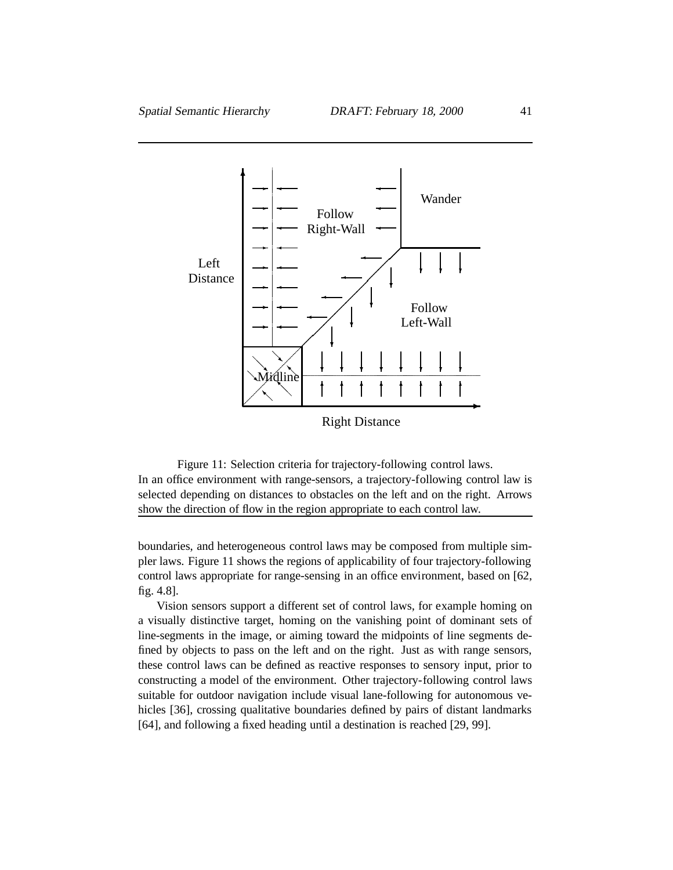

Right Distance

Figure 11: Selection criteria for trajectory-following control laws. In an office environment with range-sensors, a trajectory-following control law is selected depending on distances to obstacles on the left and on the right. Arrows show the direction of flow in the region appropriate to each control law.

boundaries, and heterogeneous control laws may be composed from multiple simpler laws. Figure 11 shows the regions of applicability of four trajectory-following control laws appropriate for range-sensing in an office environment, based on [62, fig. 4.8].

Vision sensors support a different set of control laws, for example homing on a visually distinctive target, homing on the vanishing point of dominant sets of line-segments in the image, or aiming toward the midpoints of line segments defined by objects to pass on the left and on the right. Just as with range sensors, these control laws can be defined as reactive responses to sensory input, prior to constructing a model of the environment. Other trajectory-following control laws suitable for outdoor navigation include visual lane-following for autonomous vehicles [36], crossing qualitative boundaries defined by pairs of distant landmarks [64], and following a fixed heading until a destination is reached [29, 99].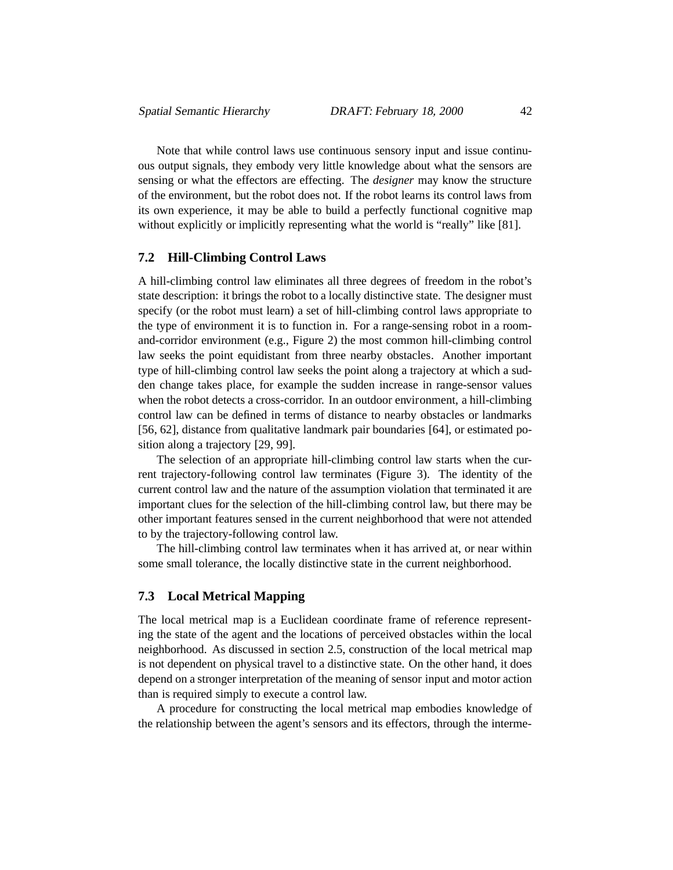Note that while control laws use continuous sensory input and issue continuous output signals, they embody very little knowledge about what the sensors are sensing or what the effectors are effecting. The *designer* may know the structure of the environment, but the robot does not. If the robot learns its control laws from its own experience, it may be able to build a perfectly functional cognitive map without explicitly or implicitly representing what the world is "really" like [81].

#### **7.2 Hill-Climbing Control Laws**

A hill-climbing control law eliminates all three degrees of freedom in the robot's state description: it brings the robot to a locally distinctive state. The designer must specify (or the robot must learn) a set of hill-climbing control laws appropriate to the type of environment it is to function in. For a range-sensing robot in a roomand-corridor environment (e.g., Figure 2) the most common hill-climbing control law seeks the point equidistant from three nearby obstacles. Another important type of hill-climbing control law seeks the point along a trajectory at which a sudden change takes place, for example the sudden increase in range-sensor values when the robot detects a cross-corridor. In an outdoor environment, a hill-climbing control law can be defined in terms of distance to nearby obstacles or landmarks [56, 62], distance from qualitative landmark pair boundaries [64], or estimated position along a trajectory [29, 99].

The selection of an appropriate hill-climbing control law starts when the current trajectory-following control law terminates (Figure 3). The identity of the current control law and the nature of the assumption violation that terminated it are important clues for the selection of the hill-climbing control law, but there may be other important features sensed in the current neighborhood that were not attended to by the trajectory-following control law.

The hill-climbing control law terminates when it has arrived at, or near within some small tolerance, the locally distinctive state in the current neighborhood.

### **7.3 Local Metrical Mapping**

The local metrical map is a Euclidean coordinate frame of reference representing the state of the agent and the locations of perceived obstacles within the local neighborhood. As discussed in section 2.5, construction of the local metrical map is not dependent on physical travel to a distinctive state. On the other hand, it does depend on a stronger interpretation of the meaning of sensor input and motor action than is required simply to execute a control law.

A procedure for constructing the local metrical map embodies knowledge of the relationship between the agent's sensors and its effectors, through the interme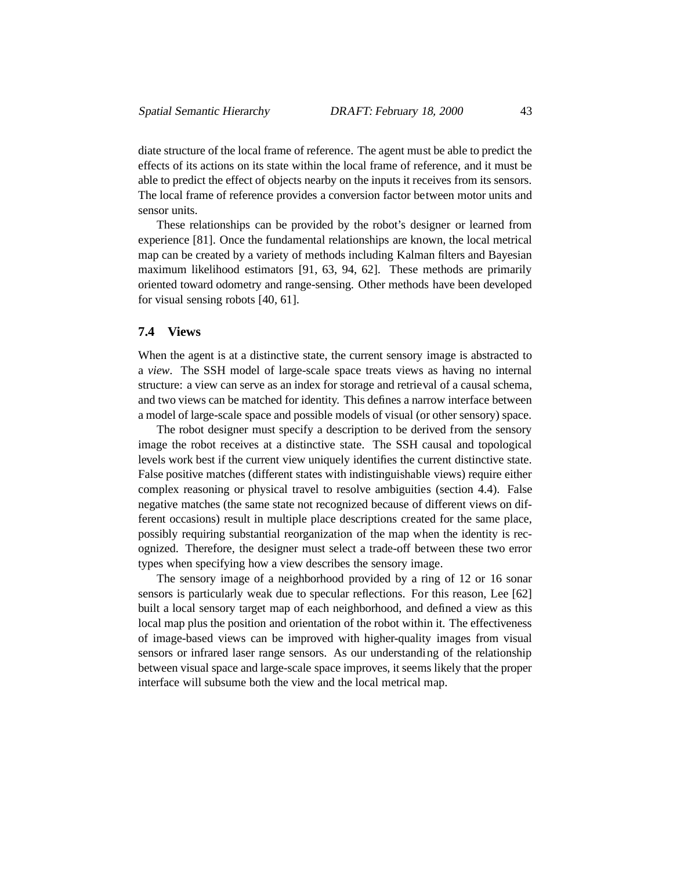diate structure of the local frame of reference. The agent must be able to predict the effects of its actions on its state within the local frame of reference, and it must be able to predict the effect of objects nearby on the inputs it receives from its sensors. The local frame of reference provides a conversion factor between motor units and sensor units.

These relationships can be provided by the robot's designer or learned from experience [81]. Once the fundamental relationships are known, the local metrical map can be created by a variety of methods including Kalman filters and Bayesian maximum likelihood estimators [91, 63, 94, 62]. These methods are primarily oriented toward odometry and range-sensing. Other methods have been developed for visual sensing robots [40, 61].

## **7.4 Views**

When the agent is at a distinctive state, the current sensory image is abstracted to a *view*. The SSH model of large-scale space treats views as having no internal structure: a view can serve as an index for storage and retrieval of a causal schema, and two views can be matched for identity. This defines a narrow interface between a model of large-scale space and possible models of visual (or other sensory) space.

The robot designer must specify a description to be derived from the sensory image the robot receives at a distinctive state. The SSH causal and topological levels work best if the current view uniquely identifies the current distinctive state. False positive matches (different states with indistinguishable views) require either complex reasoning or physical travel to resolve ambiguities (section 4.4). False negative matches (the same state not recognized because of different views on different occasions) result in multiple place descriptions created for the same place, possibly requiring substantial reorganization of the map when the identity is recognized. Therefore, the designer must select a trade-off between these two error types when specifying how a view describes the sensory image.

The sensory image of a neighborhood provided by a ring of 12 or 16 sonar sensors is particularly weak due to specular reflections. For this reason, Lee [62] built a local sensory target map of each neighborhood, and defined a view as this local map plus the position and orientation of the robot within it. The effectiveness of image-based views can be improved with higher-quality images from visual sensors or infrared laser range sensors. As our understanding of the relationship between visual space and large-scale space improves, it seems likely that the proper interface will subsume both the view and the local metrical map.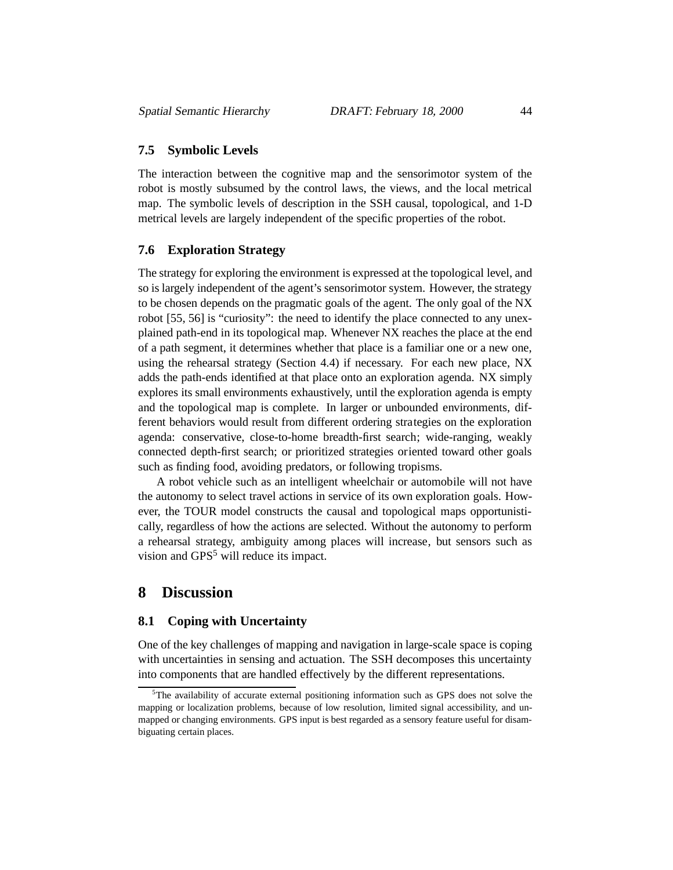## **7.5 Symbolic Levels**

The interaction between the cognitive map and the sensorimotor system of the robot is mostly subsumed by the control laws, the views, and the local metrical map. The symbolic levels of description in the SSH causal, topological, and 1-D metrical levels are largely independent of the specific properties of the robot.

## **7.6 Exploration Strategy**

The strategy for exploring the environment is expressed at the topological level, and so is largely independent of the agent's sensorimotor system. However, the strategy to be chosen depends on the pragmatic goals of the agent. The only goal of the NX robot [55, 56] is "curiosity": the need to identify the place connected to any unexplained path-end in its topological map. Whenever NX reaches the place at the end of a path segment, it determines whether that place is a familiar one or a new one, using the rehearsal strategy (Section 4.4) if necessary. For each new place, NX adds the path-ends identified at that place onto an exploration agenda. NX simply explores its small environments exhaustively, until the exploration agenda is empty and the topological map is complete. In larger or unbounded environments, different behaviors would result from different ordering strategies on the exploration agenda: conservative, close-to-home breadth-first search; wide-ranging, weakly connected depth-first search; or prioritized strategies oriented toward other goals such as finding food, avoiding predators, or following tropisms.

A robot vehicle such as an intelligent wheelchair or automobile will not have the autonomy to select travel actions in service of its own exploration goals. However, the TOUR model constructs the causal and topological maps opportunistically, regardless of how the actions are selected. Without the autonomy to perform a rehearsal strategy, ambiguity among places will increase, but sensors such as vision and  $GPS<sup>5</sup>$  will reduce its impact.

## **8 Discussion**

## **8.1 Coping with Uncertainty**

One of the key challenges of mapping and navigation in large-scale space is coping with uncertainties in sensing and actuation. The SSH decomposes this uncertainty into components that are handled effectively by the different representations.

<sup>&</sup>lt;sup>5</sup>The availability of accurate external positioning information such as GPS does not solve the mapping or localization problems, because of low resolution, limited signal accessibility, and unmapped or changing environments. GPS input is best regarded as a sensory feature useful for disambiguating certain places.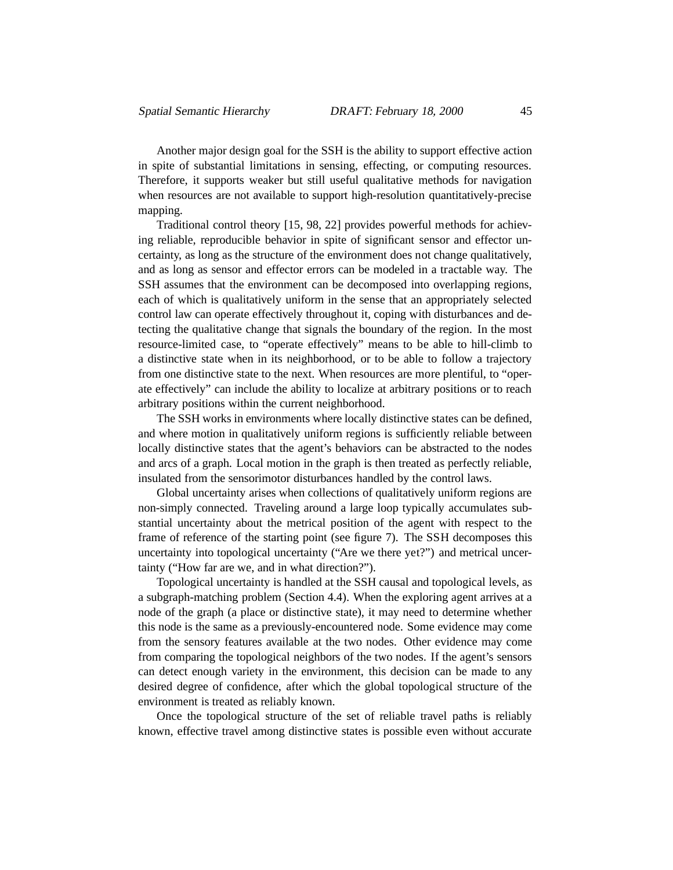Another major design goal for the SSH is the ability to support effective action in spite of substantial limitations in sensing, effecting, or computing resources. Therefore, it supports weaker but still useful qualitative methods for navigation when resources are not available to support high-resolution quantitatively-precise mapping.

Traditional control theory [15, 98, 22] provides powerful methods for achieving reliable, reproducible behavior in spite of significant sensor and effector uncertainty, as long as the structure of the environment does not change qualitatively, and as long as sensor and effector errors can be modeled in a tractable way. The SSH assumes that the environment can be decomposed into overlapping regions, each of which is qualitatively uniform in the sense that an appropriately selected control law can operate effectively throughout it, coping with disturbances and detecting the qualitative change that signals the boundary of the region. In the most resource-limited case, to "operate effectively" means to be able to hill-climb to a distinctive state when in its neighborhood, or to be able to follow a trajectory from one distinctive state to the next. When resources are more plentiful, to "operate effectively" can include the ability to localize at arbitrary positions or to reach arbitrary positions within the current neighborhood.

The SSH works in environments where locally distinctive states can be defined, and where motion in qualitatively uniform regions is sufficiently reliable between locally distinctive states that the agent's behaviors can be abstracted to the nodes and arcs of a graph. Local motion in the graph is then treated as perfectly reliable, insulated from the sensorimotor disturbances handled by the control laws.

Global uncertainty arises when collections of qualitatively uniform regions are non-simply connected. Traveling around a large loop typically accumulates substantial uncertainty about the metrical position of the agent with respect to the frame of reference of the starting point (see figure 7). The SSH decomposes this uncertainty into topological uncertainty ("Are we there yet?") and metrical uncertainty ("How far are we, and in what direction?").

Topological uncertainty is handled at the SSH causal and topological levels, as a subgraph-matching problem (Section 4.4). When the exploring agent arrives at a node of the graph (a place or distinctive state), it may need to determine whether this node is the same as a previously-encountered node. Some evidence may come from the sensory features available at the two nodes. Other evidence may come from comparing the topological neighbors of the two nodes. If the agent's sensors can detect enough variety in the environment, this decision can be made to any desired degree of confidence, after which the global topological structure of the environment is treated as reliably known.

Once the topological structure of the set of reliable travel paths is reliably known, effective travel among distinctive states is possible even without accurate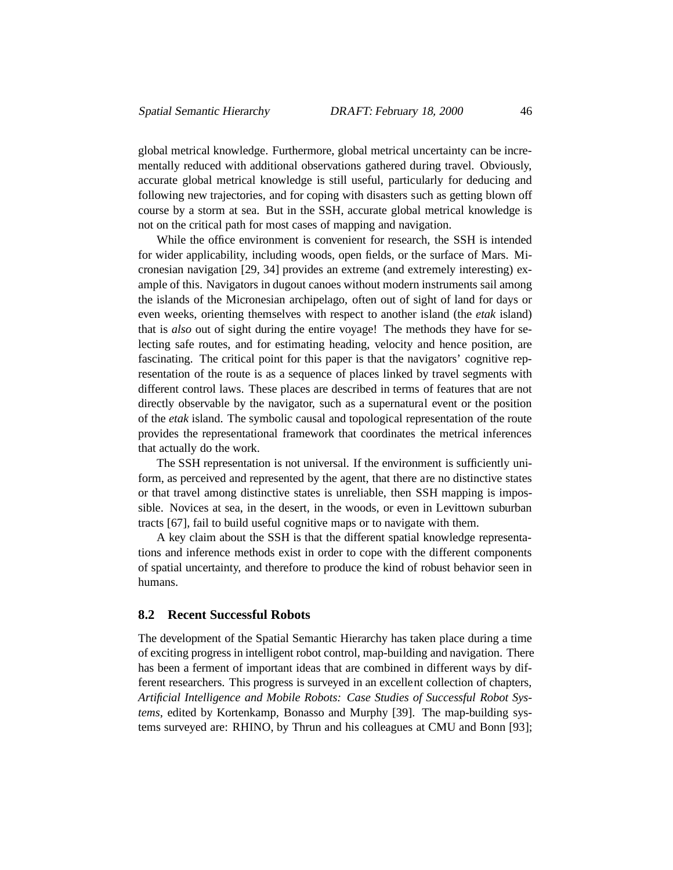global metrical knowledge. Furthermore, global metrical uncertainty can be incrementally reduced with additional observations gathered during travel. Obviously, accurate global metrical knowledge is still useful, particularly for deducing and following new trajectories, and for coping with disasters such as getting blown off course by a storm at sea. But in the SSH, accurate global metrical knowledge is not on the critical path for most cases of mapping and navigation.

While the office environment is convenient for research, the SSH is intended for wider applicability, including woods, open fields, or the surface of Mars. Micronesian navigation [29, 34] provides an extreme (and extremely interesting) example of this. Navigators in dugout canoes without modern instruments sail among the islands of the Micronesian archipelago, often out of sight of land for days or even weeks, orienting themselves with respect to another island (the *etak* island) that is *also* out of sight during the entire voyage! The methods they have for selecting safe routes, and for estimating heading, velocity and hence position, are fascinating. The critical point for this paper is that the navigators' cognitive representation of the route is as a sequence of places linked by travel segments with different control laws. These places are described in terms of features that are not directly observable by the navigator, such as a supernatural event or the position of the *etak* island. The symbolic causal and topological representation of the route provides the representational framework that coordinates the metrical inferences that actually do the work.

The SSH representation is not universal. If the environment is sufficiently uniform, as perceived and represented by the agent, that there are no distinctive states or that travel among distinctive states is unreliable, then SSH mapping is impossible. Novices at sea, in the desert, in the woods, or even in Levittown suburban tracts [67], fail to build useful cognitive maps or to navigate with them.

A key claim about the SSH is that the different spatial knowledge representations and inference methods exist in order to cope with the different components of spatial uncertainty, and therefore to produce the kind of robust behavior seen in humans.

#### **8.2 Recent Successful Robots**

The development of the Spatial Semantic Hierarchy has taken place during a time of exciting progress in intelligent robot control, map-building and navigation. There has been a ferment of important ideas that are combined in different ways by different researchers. This progress is surveyed in an excellent collection of chapters, *Artificial Intelligence and Mobile Robots: Case Studies of Successful Robot Systems*, edited by Kortenkamp, Bonasso and Murphy [39]. The map-building systems surveyed are: RHINO, by Thrun and his colleagues at CMU and Bonn [93];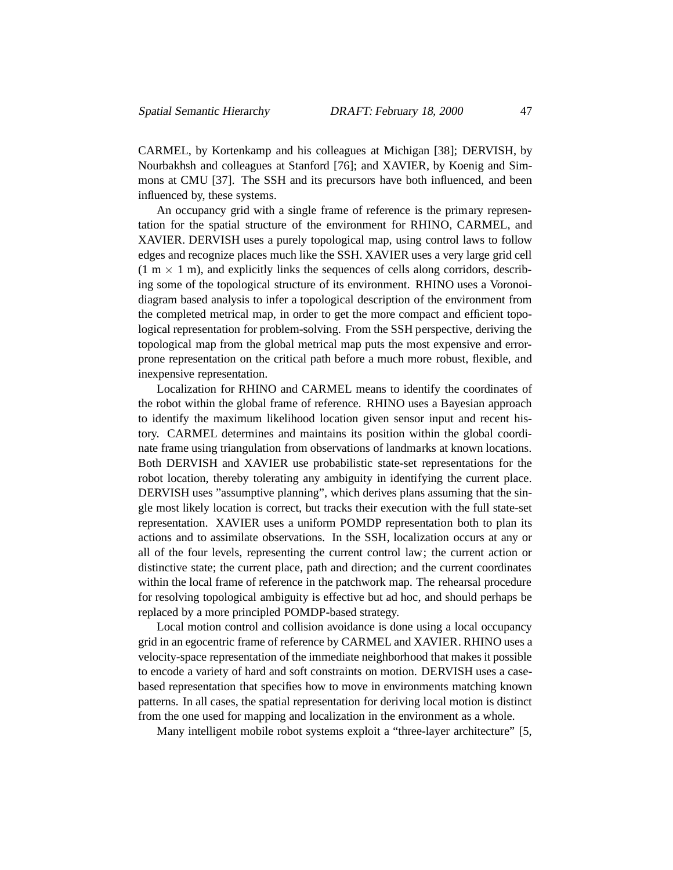CARMEL, by Kortenkamp and his colleagues at Michigan [38]; DERVISH, by Nourbakhsh and colleagues at Stanford [76]; and XAVIER, by Koenig and Simmons at CMU [37]. The SSH and its precursors have both influenced, and been influenced by, these systems.

An occupancy grid with a single frame of reference is the primary representation for the spatial structure of the environment for RHINO, CARMEL, and XAVIER. DERVISH uses a purely topological map, using control laws to follow edges and recognize places much like the SSH. XAVIER uses a very large grid cell  $(1 \text{ m} \times 1 \text{ m})$ , and explicitly links the sequences of cells along corridors, describing some of the topological structure of its environment. RHINO uses a Voronoidiagram based analysis to infer a topological description of the environment from the completed metrical map, in order to get the more compact and efficient topological representation for problem-solving. From the SSH perspective, deriving the topological map from the global metrical map puts the most expensive and errorprone representation on the critical path before a much more robust, flexible, and inexpensive representation.

Localization for RHINO and CARMEL means to identify the coordinates of the robot within the global frame of reference. RHINO uses a Bayesian approach to identify the maximum likelihood location given sensor input and recent history. CARMEL determines and maintains its position within the global coordinate frame using triangulation from observations of landmarks at known locations. Both DERVISH and XAVIER use probabilistic state-set representations for the robot location, thereby tolerating any ambiguity in identifying the current place. DERVISH uses "assumptive planning", which derives plans assuming that the single most likely location is correct, but tracks their execution with the full state-set representation. XAVIER uses a uniform POMDP representation both to plan its actions and to assimilate observations. In the SSH, localization occurs at any or all of the four levels, representing the current control law; the current action or distinctive state; the current place, path and direction; and the current coordinates within the local frame of reference in the patchwork map. The rehearsal procedure for resolving topological ambiguity is effective but ad hoc, and should perhaps be replaced by a more principled POMDP-based strategy.

Local motion control and collision avoidance is done using a local occupancy grid in an egocentric frame of reference by CARMEL and XAVIER. RHINO uses a velocity-space representation of the immediate neighborhood that makes it possible to encode a variety of hard and soft constraints on motion. DERVISH uses a casebased representation that specifies how to move in environments matching known patterns. In all cases, the spatial representation for deriving local motion is distinct from the one used for mapping and localization in the environment as a whole.

Many intelligent mobile robot systems exploit a "three-layer architecture" [5,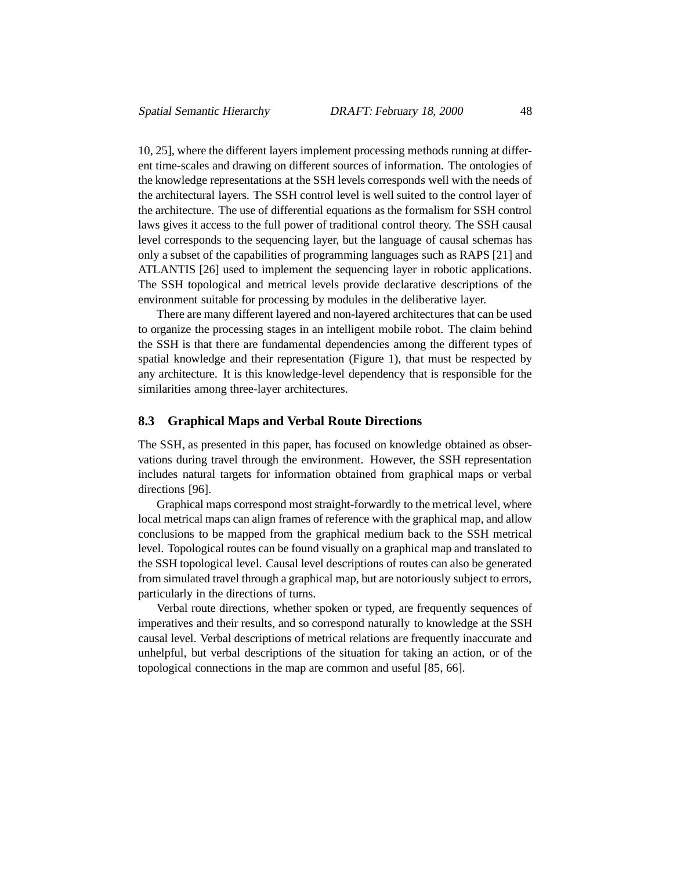10, 25], where the different layers implement processing methods running at different time-scales and drawing on different sources of information. The ontologies of the knowledge representations at the SSH levels corresponds well with the needs of the architectural layers. The SSH control level is well suited to the control layer of the architecture. The use of differential equations as the formalism for SSH control laws gives it access to the full power of traditional control theory. The SSH causal level corresponds to the sequencing layer, but the language of causal schemas has only a subset of the capabilities of programming languages such as RAPS [21] and ATLANTIS [26] used to implement the sequencing layer in robotic applications. The SSH topological and metrical levels provide declarative descriptions of the environment suitable for processing by modules in the deliberative layer.

There are many different layered and non-layered architectures that can be used to organize the processing stages in an intelligent mobile robot. The claim behind the SSH is that there are fundamental dependencies among the different types of spatial knowledge and their representation (Figure 1), that must be respected by any architecture. It is this knowledge-level dependency that is responsible for the similarities among three-layer architectures.

#### **8.3 Graphical Maps and Verbal Route Directions**

The SSH, as presented in this paper, has focused on knowledge obtained as observations during travel through the environment. However, the SSH representation includes natural targets for information obtained from graphical maps or verbal directions [96].

Graphical maps correspond most straight-forwardly to the metrical level, where local metrical maps can align frames of reference with the graphical map, and allow conclusions to be mapped from the graphical medium back to the SSH metrical level. Topological routes can be found visually on a graphical map and translated to the SSH topological level. Causal level descriptions of routes can also be generated from simulated travel through a graphical map, but are notoriously subject to errors, particularly in the directions of turns.

Verbal route directions, whether spoken or typed, are frequently sequences of imperatives and their results, and so correspond naturally to knowledge at the SSH causal level. Verbal descriptions of metrical relations are frequently inaccurate and unhelpful, but verbal descriptions of the situation for taking an action, or of the topological connections in the map are common and useful [85, 66].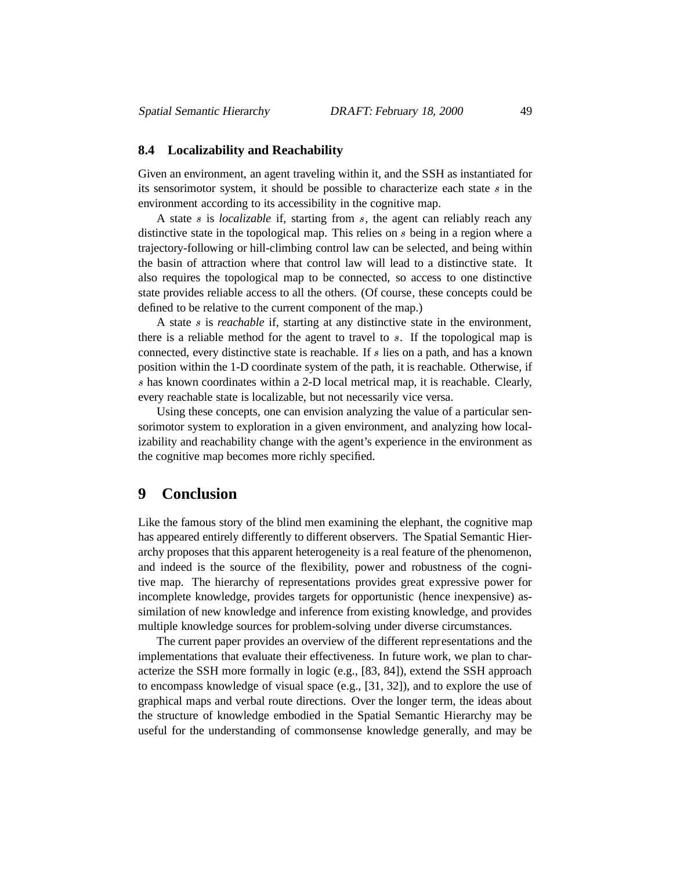## **8.4 Localizability and Reachability**

Given an environment, an agent traveling within it, and the SSH as instantiated for its sensorimotor system, it should be possible to characterize each state  $s$  in the environment according to its accessibility in the cognitive map.

A state <sup>s</sup> is *localizable* if, starting from <sup>s</sup>, the agent can reliably reach any distinctive state in the topological map. This relies on s being in a region where a trajectory-following or hill-climbing control law can be selected, and being within the basin of attraction where that control law will lead to a distinctive state. It also requires the topological map to be connected, so access to one distinctive state provides reliable access to all the others. (Of course, these concepts could be defined to be relative to the current component of the map.)

A state <sup>s</sup> is *reachable* if, starting at any distinctive state in the environment, there is a reliable method for the agent to travel to s. If the topological map is connected, every distinctive state is reachable. If <sup>s</sup> lies on a path, and has a known position within the 1-D coordinate system of the path, it is reachable. Otherwise, if s has known coordinates within a 2-D local metrical map, it is reachable. Clearly, every reachable state is localizable, but not necessarily vice versa.

Using these concepts, one can envision analyzing the value of a particular sensorimotor system to exploration in a given environment, and analyzing how localizability and reachability change with the agent's experience in the environment as the cognitive map becomes more richly specified.

## **9 Conclusion**

Like the famous story of the blind men examining the elephant, the cognitive map has appeared entirely differently to different observers. The Spatial Semantic Hierarchy proposes that this apparent heterogeneity is a real feature of the phenomenon, and indeed is the source of the flexibility, power and robustness of the cognitive map. The hierarchy of representations provides great expressive power for incomplete knowledge, provides targets for opportunistic (hence inexpensive) assimilation of new knowledge and inference from existing knowledge, and provides multiple knowledge sources for problem-solving under diverse circumstances.

The current paper provides an overview of the different representations and the implementations that evaluate their effectiveness. In future work, we plan to characterize the SSH more formally in logic (e.g., [83, 84]), extend the SSH approach to encompass knowledge of visual space (e.g., [31, 32]), and to explore the use of graphical maps and verbal route directions. Over the longer term, the ideas about the structure of knowledge embodied in the Spatial Semantic Hierarchy may be useful for the understanding of commonsense knowledge generally, and may be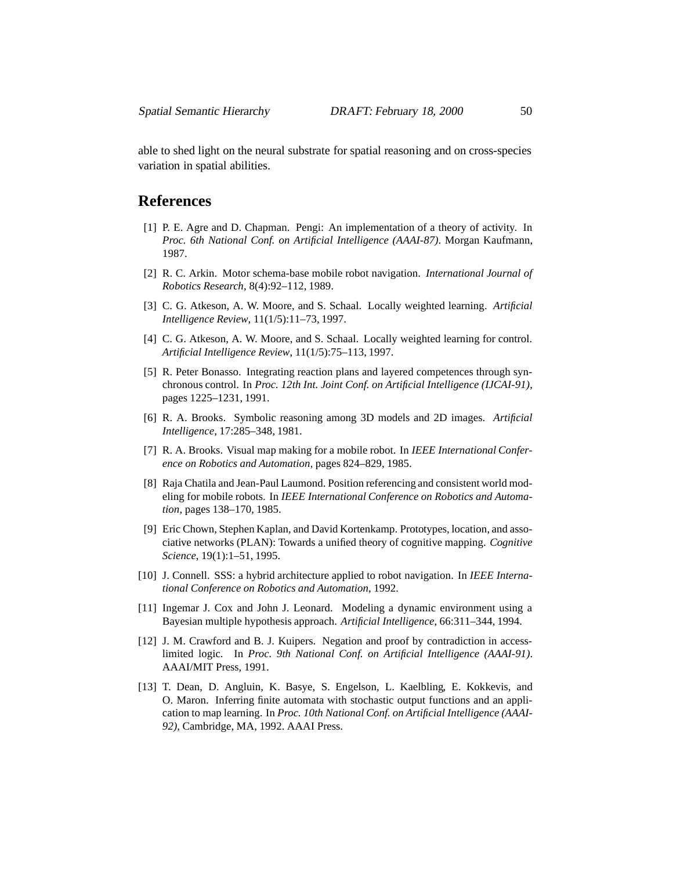able to shed light on the neural substrate for spatial reasoning and on cross-species variation in spatial abilities.

## **References**

- [1] P. E. Agre and D. Chapman. Pengi: An implementation of a theory of activity. In *Proc. 6th National Conf. on Artificial Intelligence (AAAI-87)*. Morgan Kaufmann, 1987.
- [2] R. C. Arkin. Motor schema-base mobile robot navigation. *International Journal of Robotics Research*, 8(4):92–112, 1989.
- [3] C. G. Atkeson, A. W. Moore, and S. Schaal. Locally weighted learning. *Artificial Intelligence Review*, 11(1/5):11–73, 1997.
- [4] C. G. Atkeson, A. W. Moore, and S. Schaal. Locally weighted learning for control. *Artificial Intelligence Review*, 11(1/5):75–113, 1997.
- [5] R. Peter Bonasso. Integrating reaction plans and layered competences through synchronous control. In *Proc. 12th Int. Joint Conf. on Artificial Intelligence (IJCAI-91)*, pages 1225–1231, 1991.
- [6] R. A. Brooks. Symbolic reasoning among 3D models and 2D images. *Artificial Intelligence*, 17:285–348, 1981.
- [7] R. A. Brooks. Visual map making for a mobile robot. In *IEEE International Conference on Robotics and Automation*, pages 824–829, 1985.
- [8] Raja Chatila and Jean-Paul Laumond. Position referencing and consistent world modeling for mobile robots. In *IEEE International Conference on Robotics and Automation*, pages 138–170, 1985.
- [9] Eric Chown, Stephen Kaplan, and David Kortenkamp. Prototypes, location, and associative networks (PLAN): Towards a unified theory of cognitive mapping. *Cognitive Science*, 19(1):1–51, 1995.
- [10] J. Connell. SSS: a hybrid architecture applied to robot navigation. In *IEEE International Conference on Robotics and Automation*, 1992.
- [11] Ingemar J. Cox and John J. Leonard. Modeling a dynamic environment using a Bayesian multiple hypothesis approach. *Artificial Intelligence*, 66:311–344, 1994.
- [12] J. M. Crawford and B. J. Kuipers. Negation and proof by contradiction in accesslimited logic. In *Proc. 9th National Conf. on Artificial Intelligence (AAAI-91)*. AAAI/MIT Press, 1991.
- [13] T. Dean, D. Angluin, K. Basye, S. Engelson, L. Kaelbling, E. Kokkevis, and O. Maron. Inferring finite automata with stochastic output functions and an application to map learning. In *Proc. 10th National Conf. on Artificial Intelligence (AAAI-92)*, Cambridge, MA, 1992. AAAI Press.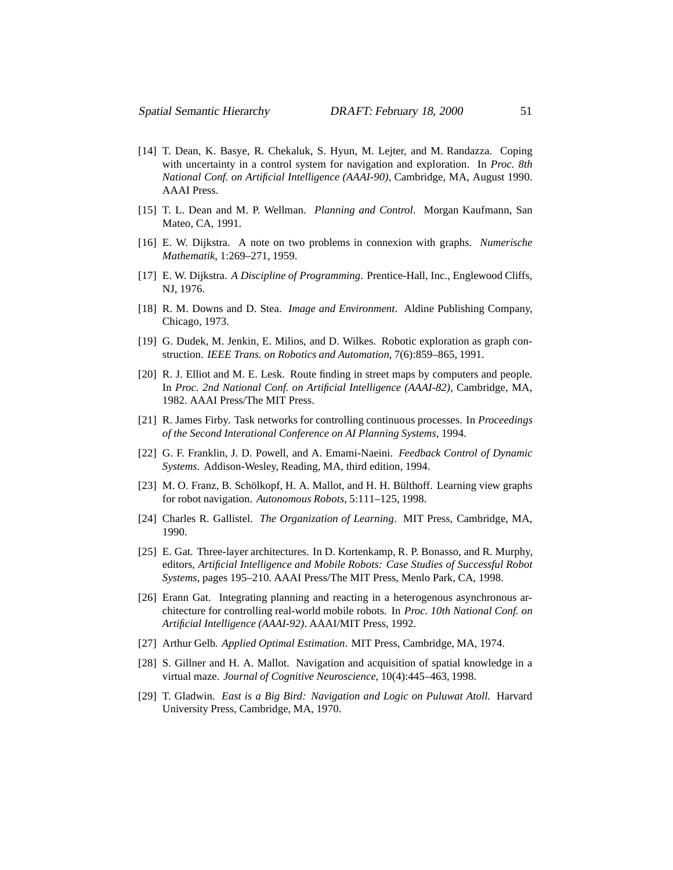- [14] T. Dean, K. Basye, R. Chekaluk, S. Hyun, M. Lejter, and M. Randazza. Coping with uncertainty in a control system for navigation and exploration. In *Proc. 8th National Conf. on Artificial Intelligence (AAAI-90)*, Cambridge, MA, August 1990. AAAI Press.
- [15] T. L. Dean and M. P. Wellman. *Planning and Control*. Morgan Kaufmann, San Mateo, CA, 1991.
- [16] E. W. Dijkstra. A note on two problems in connexion with graphs. *Numerische Mathematik*, 1:269–271, 1959.
- [17] E. W. Dijkstra. *A Discipline of Programming*. Prentice-Hall, Inc., Englewood Cliffs, NJ, 1976.
- [18] R. M. Downs and D. Stea. *Image and Environment*. Aldine Publishing Company, Chicago, 1973.
- [19] G. Dudek, M. Jenkin, E. Milios, and D. Wilkes. Robotic exploration as graph construction. *IEEE Trans. on Robotics and Automation*, 7(6):859–865, 1991.
- [20] R. J. Elliot and M. E. Lesk. Route finding in street maps by computers and people. In *Proc. 2nd National Conf. on Artificial Intelligence (AAAI-82)*, Cambridge, MA, 1982. AAAI Press/The MIT Press.
- [21] R. James Firby. Task networks for controlling continuous processes. In *Proceedings of the Second Interational Conference on AI Planning Systems*, 1994.
- [22] G. F. Franklin, J. D. Powell, and A. Emami-Naeini. *Feedback Control of Dynamic Systems*. Addison-Wesley, Reading, MA, third edition, 1994.
- [23] M. O. Franz, B. Schölkopf, H. A. Mallot, and H. H. Bülthoff. Learning view graphs for robot navigation. *Autonomous Robots*, 5:111–125, 1998.
- [24] Charles R. Gallistel. *The Organization of Learning*. MIT Press, Cambridge, MA, 1990.
- [25] E. Gat. Three-layer architectures. In D. Kortenkamp, R. P. Bonasso, and R. Murphy, editors, *Artificial Intelligence and Mobile Robots: Case Studies of Successful Robot Systems*, pages 195–210. AAAI Press/The MIT Press, Menlo Park, CA, 1998.
- [26] Erann Gat. Integrating planning and reacting in a heterogenous asynchronous architecture for controlling real-world mobile robots. In *Proc. 10th National Conf. on Artificial Intelligence (AAAI-92)*. AAAI/MIT Press, 1992.
- [27] Arthur Gelb. *Applied Optimal Estimation*. MIT Press, Cambridge, MA, 1974.
- [28] S. Gillner and H. A. Mallot. Navigation and acquisition of spatial knowledge in a virtual maze. *Journal of Cognitive Neuroscience*, 10(4):445–463, 1998.
- [29] T. Gladwin. *East is a Big Bird: Navigation and Logic on Puluwat Atoll*. Harvard University Press, Cambridge, MA, 1970.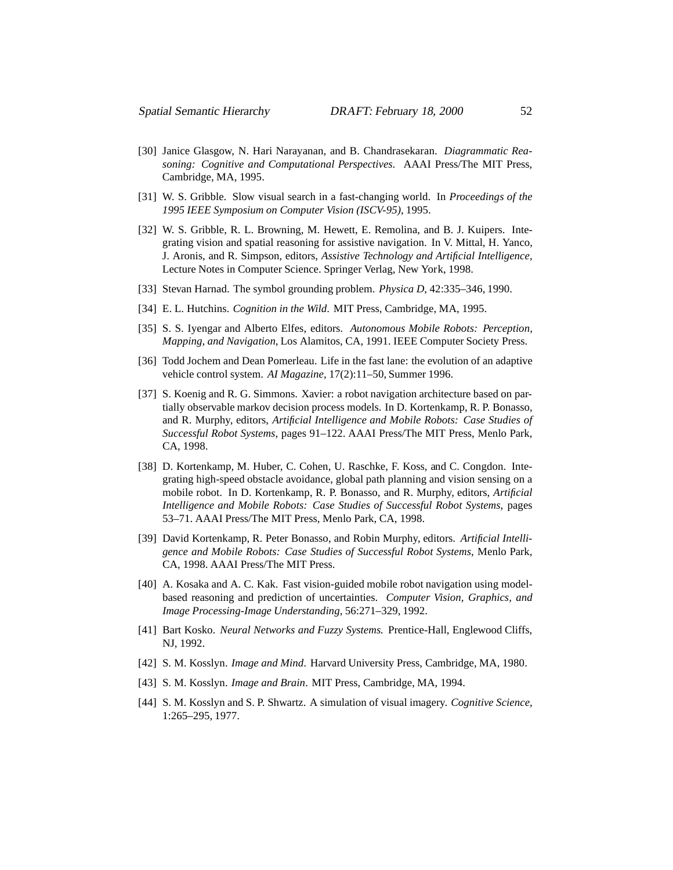- [30] Janice Glasgow, N. Hari Narayanan, and B. Chandrasekaran. *Diagrammatic Reasoning: Cognitive and Computational Perspectives*. AAAI Press/The MIT Press, Cambridge, MA, 1995.
- [31] W. S. Gribble. Slow visual search in a fast-changing world. In *Proceedings of the 1995 IEEE Symposium on Computer Vision (ISCV-95)*, 1995.
- [32] W. S. Gribble, R. L. Browning, M. Hewett, E. Remolina, and B. J. Kuipers. Integrating vision and spatial reasoning for assistive navigation. In V. Mittal, H. Yanco, J. Aronis, and R. Simpson, editors, *Assistive Technology and Artificial Intelligence*, Lecture Notes in Computer Science. Springer Verlag, New York, 1998.
- [33] Stevan Harnad. The symbol grounding problem. *Physica D*, 42:335–346, 1990.
- [34] E. L. Hutchins. *Cognition in the Wild*. MIT Press, Cambridge, MA, 1995.
- [35] S. S. Iyengar and Alberto Elfes, editors. *Autonomous Mobile Robots: Perception, Mapping, and Navigation*, Los Alamitos, CA, 1991. IEEE Computer Society Press.
- [36] Todd Jochem and Dean Pomerleau. Life in the fast lane: the evolution of an adaptive vehicle control system. *AI Magazine*, 17(2):11–50, Summer 1996.
- [37] S. Koenig and R. G. Simmons. Xavier: a robot navigation architecture based on partially observable markov decision process models. In D. Kortenkamp, R. P. Bonasso, and R. Murphy, editors, *Artificial Intelligence and Mobile Robots: Case Studies of Successful Robot Systems*, pages 91–122. AAAI Press/The MIT Press, Menlo Park, CA, 1998.
- [38] D. Kortenkamp, M. Huber, C. Cohen, U. Raschke, F. Koss, and C. Congdon. Integrating high-speed obstacle avoidance, global path planning and vision sensing on a mobile robot. In D. Kortenkamp, R. P. Bonasso, and R. Murphy, editors, *Artificial Intelligence and Mobile Robots: Case Studies of Successful Robot Systems*, pages 53–71. AAAI Press/The MIT Press, Menlo Park, CA, 1998.
- [39] David Kortenkamp, R. Peter Bonasso, and Robin Murphy, editors. *Artificial Intelligence and Mobile Robots: Case Studies of Successful Robot Systems*, Menlo Park, CA, 1998. AAAI Press/The MIT Press.
- [40] A. Kosaka and A. C. Kak. Fast vision-guided mobile robot navigation using modelbased reasoning and prediction of uncertainties. *Computer Vision, Graphics, and Image Processing-Image Understanding*, 56:271–329, 1992.
- [41] Bart Kosko. *Neural Networks and Fuzzy Systems*. Prentice-Hall, Englewood Cliffs, NJ, 1992.
- [42] S. M. Kosslyn. *Image and Mind*. Harvard University Press, Cambridge, MA, 1980.
- [43] S. M. Kosslyn. *Image and Brain*. MIT Press, Cambridge, MA, 1994.
- [44] S. M. Kosslyn and S. P. Shwartz. A simulation of visual imagery. *Cognitive Science*, 1:265–295, 1977.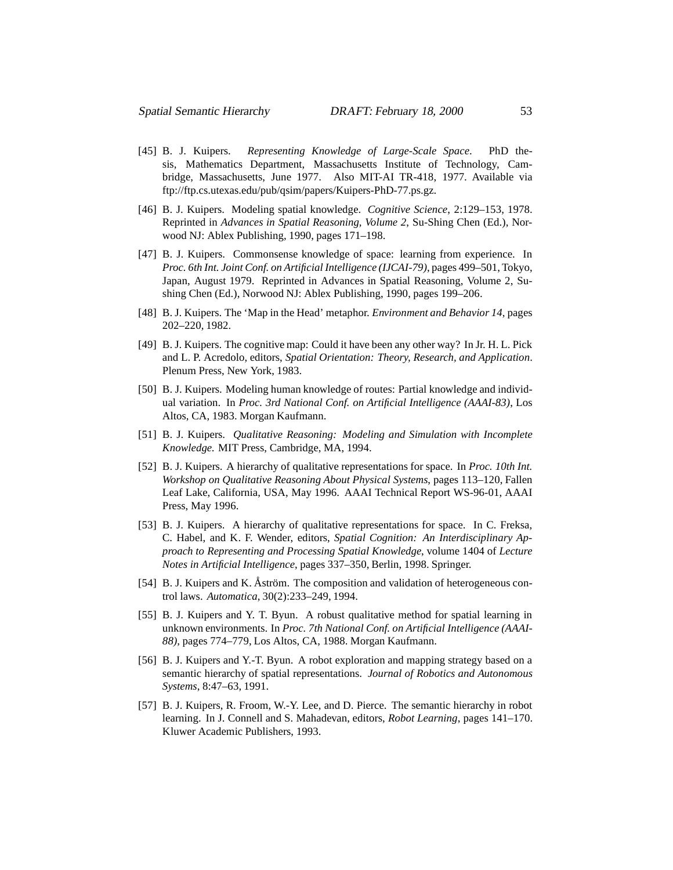- [45] B. J. Kuipers. *Representing Knowledge of Large-Scale Space*. PhD thesis, Mathematics Department, Massachusetts Institute of Technology, Cambridge, Massachusetts, June 1977. Also MIT-AI TR-418, 1977. Available via ftp://ftp.cs.utexas.edu/pub/qsim/papers/Kuipers-PhD-77.ps.gz.
- [46] B. J. Kuipers. Modeling spatial knowledge. *Cognitive Science*, 2:129–153, 1978. Reprinted in *Advances in Spatial Reasoning, Volume 2*, Su-Shing Chen (Ed.), Norwood NJ: Ablex Publishing, 1990, pages 171–198.
- [47] B. J. Kuipers. Commonsense knowledge of space: learning from experience. In *Proc. 6th Int. Joint Conf. on Artificial Intelligence (IJCAI-79)*, pages 499–501, Tokyo, Japan, August 1979. Reprinted in Advances in Spatial Reasoning, Volume 2, Sushing Chen (Ed.), Norwood NJ: Ablex Publishing, 1990, pages 199–206.
- [48] B. J. Kuipers. The 'Map in the Head' metaphor. *Environment and Behavior 14*, pages 202–220, 1982.
- [49] B. J. Kuipers. The cognitive map: Could it have been any other way? In Jr. H. L. Pick and L. P. Acredolo, editors, *Spatial Orientation: Theory, Research, and Application*. Plenum Press, New York, 1983.
- [50] B. J. Kuipers. Modeling human knowledge of routes: Partial knowledge and individual variation. In *Proc. 3rd National Conf. on Artificial Intelligence (AAAI-83)*, Los Altos, CA, 1983. Morgan Kaufmann.
- [51] B. J. Kuipers. *Qualitative Reasoning: Modeling and Simulation with Incomplete Knowledge*. MIT Press, Cambridge, MA, 1994.
- [52] B. J. Kuipers. A hierarchy of qualitative representations for space. In *Proc. 10th Int. Workshop on Qualitative Reasoning About Physical Systems*, pages 113–120, Fallen Leaf Lake, California, USA, May 1996. AAAI Technical Report WS-96-01, AAAI Press, May 1996.
- [53] B. J. Kuipers. A hierarchy of qualitative representations for space. In C. Freksa, C. Habel, and K. F. Wender, editors, *Spatial Cognition: An Interdisciplinary Approach to Representing and Processing Spatial Knowledge*, volume 1404 of *Lecture Notes in Artificial Intelligence*, pages 337–350, Berlin, 1998. Springer.
- [54] B. J. Kuipers and K. Åström. The composition and validation of heterogeneous control laws. *Automatica*, 30(2):233–249, 1994.
- [55] B. J. Kuipers and Y. T. Byun. A robust qualitative method for spatial learning in unknown environments. In *Proc. 7th National Conf. on Artificial Intelligence (AAAI-88)*, pages 774–779, Los Altos, CA, 1988. Morgan Kaufmann.
- [56] B. J. Kuipers and Y.-T. Byun. A robot exploration and mapping strategy based on a semantic hierarchy of spatial representations. *Journal of Robotics and Autonomous Systems*, 8:47–63, 1991.
- [57] B. J. Kuipers, R. Froom, W.-Y. Lee, and D. Pierce. The semantic hierarchy in robot learning. In J. Connell and S. Mahadevan, editors, *Robot Learning*, pages 141–170. Kluwer Academic Publishers, 1993.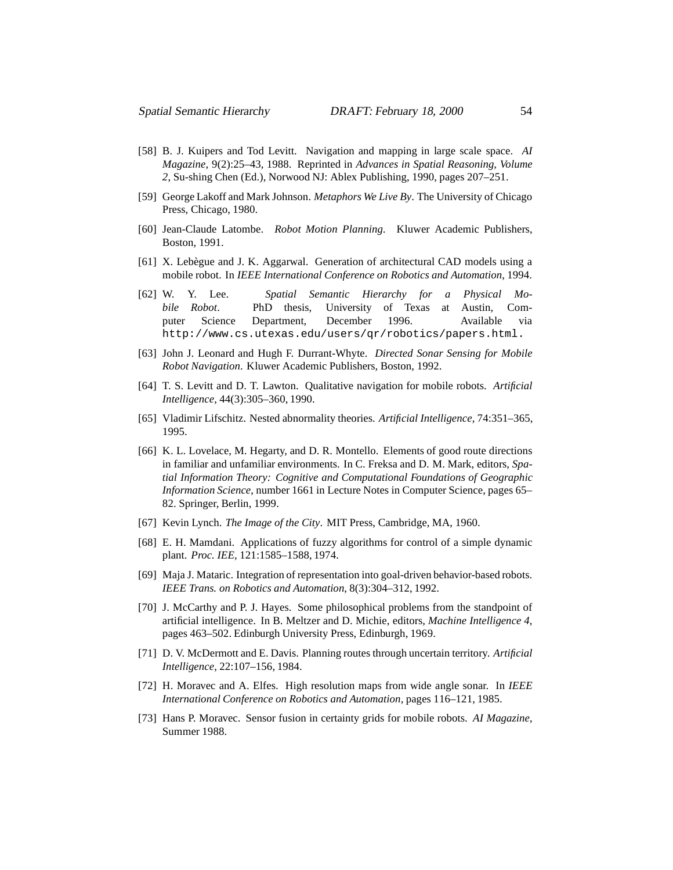- [58] B. J. Kuipers and Tod Levitt. Navigation and mapping in large scale space. *AI Magazine*, 9(2):25–43, 1988. Reprinted in *Advances in Spatial Reasoning, Volume 2*, Su-shing Chen (Ed.), Norwood NJ: Ablex Publishing, 1990, pages 207–251.
- [59] George Lakoff and Mark Johnson. *Metaphors We Live By*. The University of Chicago Press, Chicago, 1980.
- [60] Jean-Claude Latombe. *Robot Motion Planning*. Kluwer Academic Publishers, Boston, 1991.
- [61] X. Lebègue and J. K. Aggarwal. Generation of architectural CAD models using a mobile robot. In *IEEE International Conference on Robotics and Automation*, 1994.
- [62] W. Y. Lee. *Spatial Semantic Hierarchy for a Physical Mobile Robot*. PhD thesis, University of Texas at Austin, Computer Science Department, December 1996. Available via http://www.cs.utexas.edu/users/qr/robotics/papers.html.
- [63] John J. Leonard and Hugh F. Durrant-Whyte. *Directed Sonar Sensing for Mobile Robot Navigation*. Kluwer Academic Publishers, Boston, 1992.
- [64] T. S. Levitt and D. T. Lawton. Qualitative navigation for mobile robots. *Artificial Intelligence*, 44(3):305–360, 1990.
- [65] Vladimir Lifschitz. Nested abnormality theories. *Artificial Intelligence*, 74:351–365, 1995.
- [66] K. L. Lovelace, M. Hegarty, and D. R. Montello. Elements of good route directions in familiar and unfamiliar environments. In C. Freksa and D. M. Mark, editors, *Spatial Information Theory: Cognitive and Computational Foundations of Geographic Information Science*, number 1661 in Lecture Notes in Computer Science, pages 65– 82. Springer, Berlin, 1999.
- [67] Kevin Lynch. *The Image of the City*. MIT Press, Cambridge, MA, 1960.
- [68] E. H. Mamdani. Applications of fuzzy algorithms for control of a simple dynamic plant. *Proc. IEE*, 121:1585–1588, 1974.
- [69] Maja J. Mataric. Integration of representation into goal-driven behavior-based robots. *IEEE Trans. on Robotics and Automation*, 8(3):304–312, 1992.
- [70] J. McCarthy and P. J. Hayes. Some philosophical problems from the standpoint of artificial intelligence. In B. Meltzer and D. Michie, editors, *Machine Intelligence 4*, pages 463–502. Edinburgh University Press, Edinburgh, 1969.
- [71] D. V. McDermott and E. Davis. Planning routes through uncertain territory. *Artificial Intelligence*, 22:107–156, 1984.
- [72] H. Moravec and A. Elfes. High resolution maps from wide angle sonar. In *IEEE International Conference on Robotics and Automation*, pages 116–121, 1985.
- [73] Hans P. Moravec. Sensor fusion in certainty grids for mobile robots. *AI Magazine*, Summer 1988.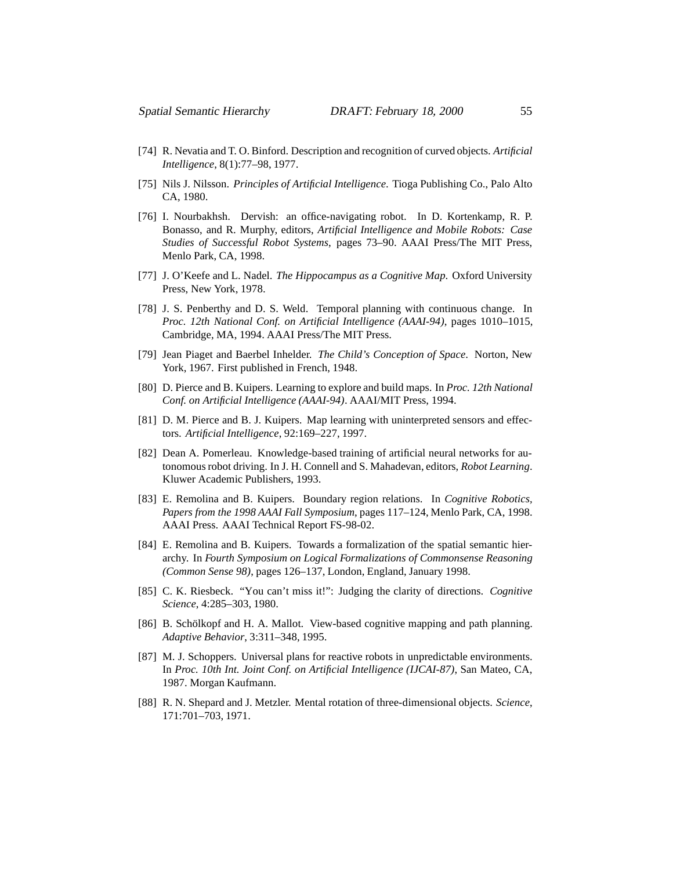- [74] R. Nevatia and T. O. Binford. Description and recognition of curved objects. *Artificial Intelligence*, 8(1):77–98, 1977.
- [75] Nils J. Nilsson. *Principles of Artificial Intelligence*. Tioga Publishing Co., Palo Alto CA, 1980.
- [76] I. Nourbakhsh. Dervish: an office-navigating robot. In D. Kortenkamp, R. P. Bonasso, and R. Murphy, editors, *Artificial Intelligence and Mobile Robots: Case Studies of Successful Robot Systems*, pages 73–90. AAAI Press/The MIT Press, Menlo Park, CA, 1998.
- [77] J. O'Keefe and L. Nadel. *The Hippocampus as a Cognitive Map*. Oxford University Press, New York, 1978.
- [78] J. S. Penberthy and D. S. Weld. Temporal planning with continuous change. In *Proc. 12th National Conf. on Artificial Intelligence (AAAI-94)*, pages 1010–1015, Cambridge, MA, 1994. AAAI Press/The MIT Press.
- [79] Jean Piaget and Baerbel Inhelder. *The Child's Conception of Space*. Norton, New York, 1967. First published in French, 1948.
- [80] D. Pierce and B. Kuipers. Learning to explore and build maps. In *Proc. 12th National Conf. on Artificial Intelligence (AAAI-94)*. AAAI/MIT Press, 1994.
- [81] D. M. Pierce and B. J. Kuipers. Map learning with uninterpreted sensors and effectors. *Artificial Intelligence*, 92:169–227, 1997.
- [82] Dean A. Pomerleau. Knowledge-based training of artificial neural networks for autonomous robot driving. In J. H. Connell and S. Mahadevan, editors, *Robot Learning*. Kluwer Academic Publishers, 1993.
- [83] E. Remolina and B. Kuipers. Boundary region relations. In *Cognitive Robotics, Papers from the 1998 AAAI Fall Symposium*, pages 117–124, Menlo Park, CA, 1998. AAAI Press. AAAI Technical Report FS-98-02.
- [84] E. Remolina and B. Kuipers. Towards a formalization of the spatial semantic hierarchy. In *Fourth Symposium on Logical Formalizations of Commonsense Reasoning (Common Sense 98)*, pages 126–137, London, England, January 1998.
- [85] C. K. Riesbeck. "You can't miss it!": Judging the clarity of directions. *Cognitive Science*, 4:285–303, 1980.
- [86] B. Schölkopf and H. A. Mallot. View-based cognitive mapping and path planning. *Adaptive Behavior*, 3:311–348, 1995.
- [87] M. J. Schoppers. Universal plans for reactive robots in unpredictable environments. In *Proc. 10th Int. Joint Conf. on Artificial Intelligence (IJCAI-87)*, San Mateo, CA, 1987. Morgan Kaufmann.
- [88] R. N. Shepard and J. Metzler. Mental rotation of three-dimensional objects. *Science*, 171:701–703, 1971.